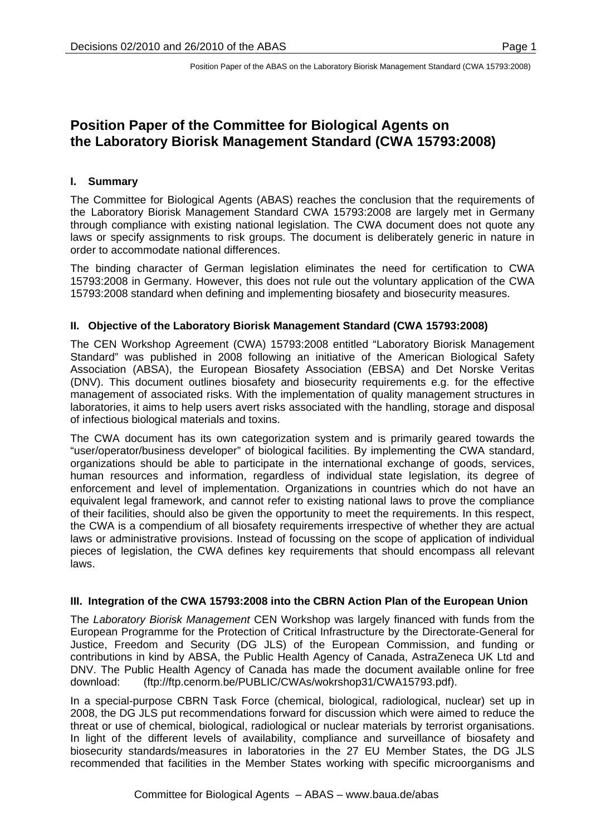# **Position Paper of the Committee for Biological Agents on the Laboratory Biorisk Management Standard (CWA 15793:2008)**

# **I. Summary**

The Committee for Biological Agents (ABAS) reaches the conclusion that the requirements of the Laboratory Biorisk Management Standard CWA 15793:2008 are largely met in Germany through compliance with existing national legislation. The CWA document does not quote any laws or specify assignments to risk groups. The document is deliberately generic in nature in order to accommodate national differences.

The binding character of German legislation eliminates the need for certification to CWA 15793:2008 in Germany. However, this does not rule out the voluntary application of the CWA 15793:2008 standard when defining and implementing biosafety and biosecurity measures.

### **II. Objective of the Laboratory Biorisk Management Standard (CWA 15793:2008)**

The CEN Workshop Agreement (CWA) 15793:2008 entitled "Laboratory Biorisk Management Standard" was published in 2008 following an initiative of the American Biological Safety Association (ABSA), the European Biosafety Association (EBSA) and Det Norske Veritas (DNV). This document outlines biosafety and biosecurity requirements e.g. for the effective management of associated risks. With the implementation of quality management structures in laboratories, it aims to help users avert risks associated with the handling, storage and disposal of infectious biological materials and toxins.

The CWA document has its own categorization system and is primarily geared towards the "user/operator/business developer" of biological facilities. By implementing the CWA standard, organizations should be able to participate in the international exchange of goods, services, human resources and information, regardless of individual state legislation, its degree of enforcement and level of implementation. Organizations in countries which do not have an equivalent legal framework, and cannot refer to existing national laws to prove the compliance of their facilities, should also be given the opportunity to meet the requirements. In this respect, the CWA is a compendium of all biosafety requirements irrespective of whether they are actual laws or administrative provisions. Instead of focussing on the scope of application of individual pieces of legislation, the CWA defines key requirements that should encompass all relevant laws.

### **III. Integration of the CWA 15793:2008 into the CBRN Action Plan of the European Union**

The *Laboratory Biorisk Management* CEN Workshop was largely financed with funds from the European Programme for the Protection of Critical Infrastructure by the Directorate-General for Justice, Freedom and Security (DG JLS) of the European Commission, and funding or contributions in kind by ABSA, the Public Health Agency of Canada, AstraZeneca UK Ltd and DNV. The Public Health Agency of Canada has made the document available online for free download: (ftp://ftp.cenorm.be/PUBLIC/CWAs/wokrshop31/CWA15793.pdf).

In a special-purpose CBRN Task Force (chemical, biological, radiological, nuclear) set up in 2008, the DG JLS put recommendations forward for discussion which were aimed to reduce the threat or use of chemical, biological, radiological or nuclear materials by terrorist organisations. In light of the different levels of availability, compliance and surveillance of biosafety and biosecurity standards/measures in laboratories in the 27 EU Member States, the DG JLS recommended that facilities in the Member States working with specific microorganisms and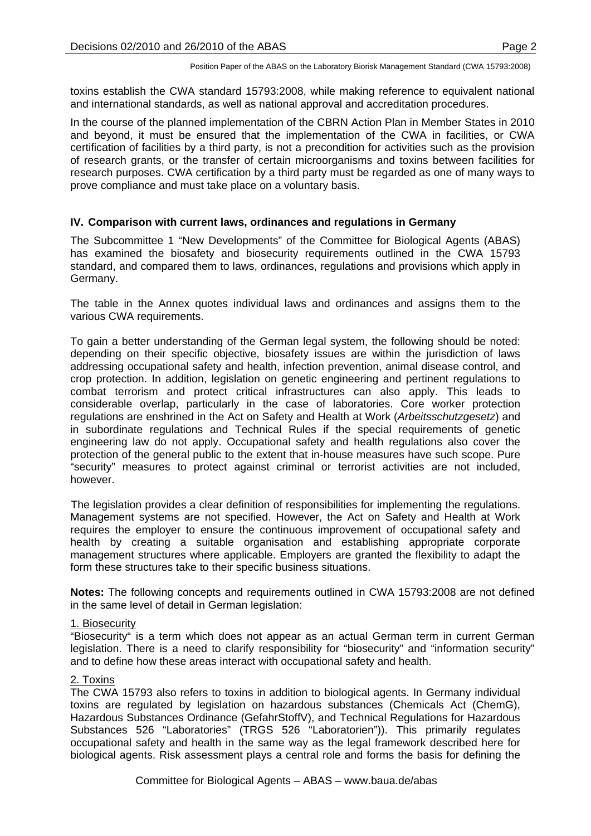toxins establish the CWA standard 15793:2008, while making reference to equivalent national and international standards, as well as national approval and accreditation procedures.

In the course of the planned implementation of the CBRN Action Plan in Member States in 2010 and beyond, it must be ensured that the implementation of the CWA in facilities, or CWA certification of facilities by a third party, is not a precondition for activities such as the provision of research grants, or the transfer of certain microorganisms and toxins between facilities for research purposes. CWA certification by a third party must be regarded as one of many ways to prove compliance and must take place on a voluntary basis.

# **IV. Comparison with current laws, ordinances and regulations in Germany**

The Subcommittee 1 "New Developments" of the Committee for Biological Agents (ABAS) has examined the biosafety and biosecurity requirements outlined in the CWA 15793 standard, and compared them to laws, ordinances, regulations and provisions which apply in Germany.

The table in the Annex quotes individual laws and ordinances and assigns them to the various CWA requirements.

To gain a better understanding of the German legal system, the following should be noted: depending on their specific objective, biosafety issues are within the jurisdiction of laws addressing occupational safety and health, infection prevention, animal disease control, and crop protection. In addition, legislation on genetic engineering and pertinent regulations to combat terrorism and protect critical infrastructures can also apply. This leads to considerable overlap, particularly in the case of laboratories. Core worker protection regulations are enshrined in the Act on Safety and Health at Work (*Arbeitsschutzgesetz*) and in subordinate regulations and Technical Rules if the special requirements of genetic engineering law do not apply. Occupational safety and health regulations also cover the protection of the general public to the extent that in-house measures have such scope. Pure "security" measures to protect against criminal or terrorist activities are not included, however.

The legislation provides a clear definition of responsibilities for implementing the regulations. Management systems are not specified. However, the Act on Safety and Health at Work requires the employer to ensure the continuous improvement of occupational safety and health by creating a suitable organisation and establishing appropriate corporate management structures where applicable. Employers are granted the flexibility to adapt the form these structures take to their specific business situations.

**Notes:** The following concepts and requirements outlined in CWA 15793:2008 are not defined in the same level of detail in German legislation:

### 1. Biosecurity

"Biosecurity" is a term which does not appear as an actual German term in current German legislation. There is a need to clarify responsibility for "biosecurity" and "information security" and to define how these areas interact with occupational safety and health.

# 2. Toxins

The CWA 15793 also refers to toxins in addition to biological agents. In Germany individual toxins are regulated by legislation on hazardous substances (Chemicals Act (ChemG), Hazardous Substances Ordinance (GefahrStoffV), and Technical Regulations for Hazardous Substances 526 "Laboratories" (TRGS 526 "Laboratorien")). This primarily regulates occupational safety and health in the same way as the legal framework described here for biological agents. Risk assessment plays a central role and forms the basis for defining the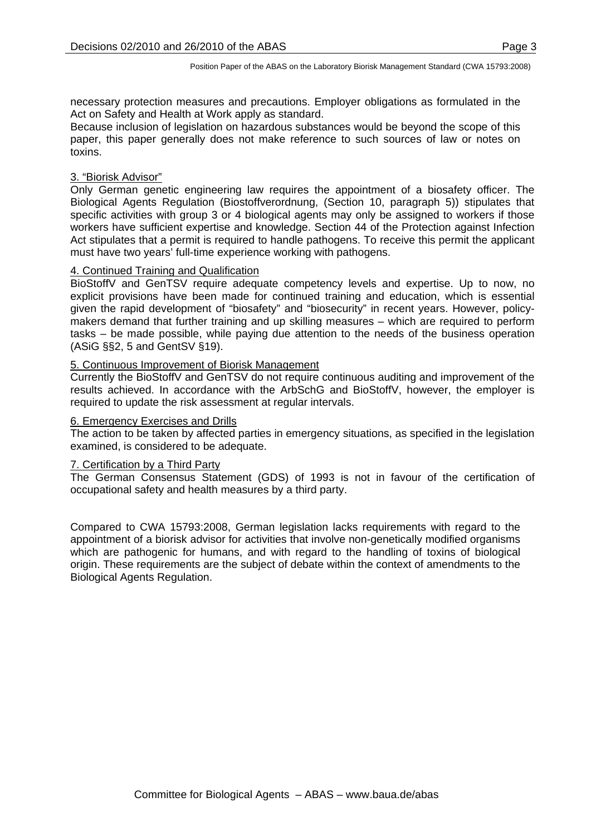necessary protection measures and precautions. Employer obligations as formulated in the Act on Safety and Health at Work apply as standard.

Because inclusion of legislation on hazardous substances would be beyond the scope of this paper, this paper generally does not make reference to such sources of law or notes on toxins.

#### 3. "Biorisk Advisor"

Only German genetic engineering law requires the appointment of a biosafety officer. The Biological Agents Regulation (Biostoffverordnung, (Section 10, paragraph 5)) stipulates that specific activities with group 3 or 4 biological agents may only be assigned to workers if those workers have sufficient expertise and knowledge. Section 44 of the Protection against Infection Act stipulates that a permit is required to handle pathogens. To receive this permit the applicant must have two years' full-time experience working with pathogens.

#### 4. Continued Training and Qualification

BioStoffV and GenTSV require adequate competency levels and expertise. Up to now, no explicit provisions have been made for continued training and education, which is essential given the rapid development of "biosafety" and "biosecurity" in recent years. However, policymakers demand that further training and up skilling measures – which are required to perform tasks – be made possible, while paying due attention to the needs of the business operation (ASiG §§2, 5 and GentSV §19).

#### 5. Continuous Improvement of Biorisk Management

Currently the BioStoffV and GenTSV do not require continuous auditing and improvement of the results achieved. In accordance with the ArbSchG and BioStoffV, however, the employer is required to update the risk assessment at regular intervals.

#### 6. Emergency Exercises and Drills

The action to be taken by affected parties in emergency situations, as specified in the legislation examined, is considered to be adequate.

#### 7. Certification by a Third Party

The German Consensus Statement (GDS) of 1993 is not in favour of the certification of occupational safety and health measures by a third party.

Compared to CWA 15793:2008, German legislation lacks requirements with regard to the appointment of a biorisk advisor for activities that involve non-genetically modified organisms which are pathogenic for humans, and with regard to the handling of toxins of biological origin. These requirements are the subject of debate within the context of amendments to the Biological Agents Regulation.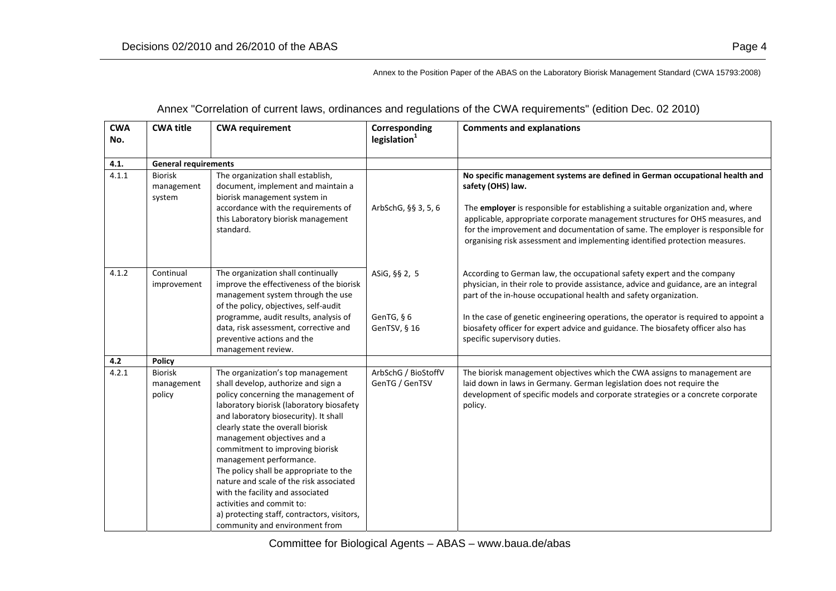| <b>CWA</b><br>No. | <b>CWA title</b>                       | <b>CWA requirement</b>                                                                                                                                                                                                                                                                                                                                                                                                                                                                                                                                                        | Corresponding<br>legislation <sup>1</sup>   | <b>Comments and explanations</b>                                                                                                                                                                                                                                                                                                                                                                                                                 |
|-------------------|----------------------------------------|-------------------------------------------------------------------------------------------------------------------------------------------------------------------------------------------------------------------------------------------------------------------------------------------------------------------------------------------------------------------------------------------------------------------------------------------------------------------------------------------------------------------------------------------------------------------------------|---------------------------------------------|--------------------------------------------------------------------------------------------------------------------------------------------------------------------------------------------------------------------------------------------------------------------------------------------------------------------------------------------------------------------------------------------------------------------------------------------------|
| 4.1.              | <b>General requirements</b>            |                                                                                                                                                                                                                                                                                                                                                                                                                                                                                                                                                                               |                                             |                                                                                                                                                                                                                                                                                                                                                                                                                                                  |
| 4.1.1             | <b>Biorisk</b><br>management<br>system | The organization shall establish,<br>document, implement and maintain a<br>biorisk management system in<br>accordance with the requirements of<br>this Laboratory biorisk management<br>standard.                                                                                                                                                                                                                                                                                                                                                                             | ArbSchG, §§ 3, 5, 6                         | No specific management systems are defined in German occupational health and<br>safety (OHS) law.<br>The employer is responsible for establishing a suitable organization and, where<br>applicable, appropriate corporate management structures for OHS measures, and<br>for the improvement and documentation of same. The employer is responsible for<br>organising risk assessment and implementing identified protection measures.           |
| 4.1.2             | Continual<br>improvement               | The organization shall continually<br>improve the effectiveness of the biorisk<br>management system through the use<br>of the policy, objectives, self-audit<br>programme, audit results, analysis of<br>data, risk assessment, corrective and<br>preventive actions and the<br>management review.                                                                                                                                                                                                                                                                            | ASiG, §§ 2, 5<br>GenTG, § 6<br>GenTSV, § 16 | According to German law, the occupational safety expert and the company<br>physician, in their role to provide assistance, advice and guidance, are an integral<br>part of the in-house occupational health and safety organization.<br>In the case of genetic engineering operations, the operator is required to appoint a<br>biosafety officer for expert advice and guidance. The biosafety officer also has<br>specific supervisory duties. |
| 4.2               | <b>Policy</b>                          |                                                                                                                                                                                                                                                                                                                                                                                                                                                                                                                                                                               |                                             |                                                                                                                                                                                                                                                                                                                                                                                                                                                  |
| 4.2.1             | <b>Biorisk</b><br>management<br>policy | The organization's top management<br>shall develop, authorize and sign a<br>policy concerning the management of<br>laboratory biorisk (laboratory biosafety<br>and laboratory biosecurity). It shall<br>clearly state the overall biorisk<br>management objectives and a<br>commitment to improving biorisk<br>management performance.<br>The policy shall be appropriate to the<br>nature and scale of the risk associated<br>with the facility and associated<br>activities and commit to:<br>a) protecting staff, contractors, visitors,<br>community and environment from | ArbSchG / BioStoffV<br>GenTG / GenTSV       | The biorisk management objectives which the CWA assigns to management are<br>laid down in laws in Germany. German legislation does not require the<br>development of specific models and corporate strategies or a concrete corporate<br>policy.                                                                                                                                                                                                 |

# Annex "Correlation of current laws, ordinances and regulations of the CWA requirements" (edition Dec. 02 2010)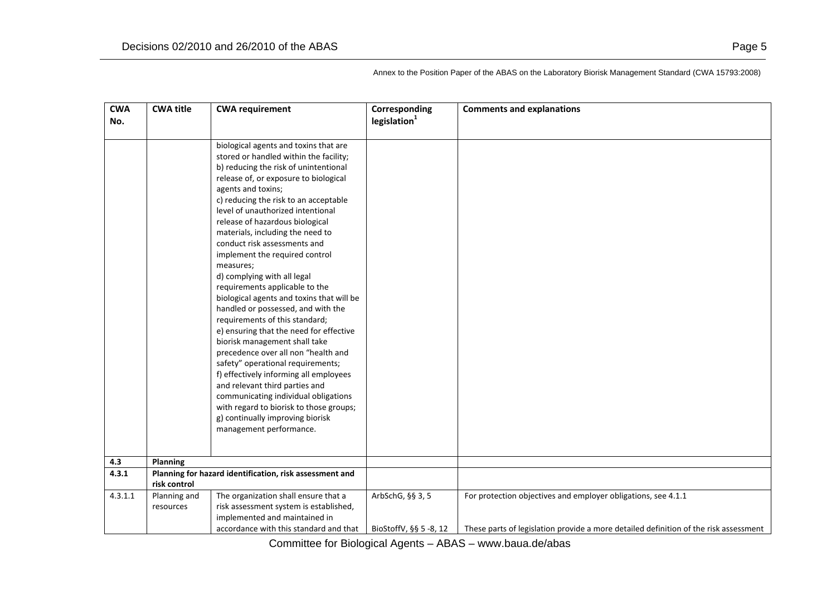| <b>CWA</b> | <b>CWA title</b> | <b>CWA requirement</b>                                  | Corresponding            | <b>Comments and explanations</b>                                                     |
|------------|------------------|---------------------------------------------------------|--------------------------|--------------------------------------------------------------------------------------|
| No.        |                  |                                                         | legislation <sup>1</sup> |                                                                                      |
|            |                  |                                                         |                          |                                                                                      |
|            |                  | biological agents and toxins that are                   |                          |                                                                                      |
|            |                  | stored or handled within the facility;                  |                          |                                                                                      |
|            |                  | b) reducing the risk of unintentional                   |                          |                                                                                      |
|            |                  | release of, or exposure to biological                   |                          |                                                                                      |
|            |                  | agents and toxins;                                      |                          |                                                                                      |
|            |                  | c) reducing the risk to an acceptable                   |                          |                                                                                      |
|            |                  | level of unauthorized intentional                       |                          |                                                                                      |
|            |                  | release of hazardous biological                         |                          |                                                                                      |
|            |                  | materials, including the need to                        |                          |                                                                                      |
|            |                  | conduct risk assessments and                            |                          |                                                                                      |
|            |                  | implement the required control                          |                          |                                                                                      |
|            |                  | measures;                                               |                          |                                                                                      |
|            |                  | d) complying with all legal                             |                          |                                                                                      |
|            |                  | requirements applicable to the                          |                          |                                                                                      |
|            |                  | biological agents and toxins that will be               |                          |                                                                                      |
|            |                  | handled or possessed, and with the                      |                          |                                                                                      |
|            |                  | requirements of this standard;                          |                          |                                                                                      |
|            |                  | e) ensuring that the need for effective                 |                          |                                                                                      |
|            |                  | biorisk management shall take                           |                          |                                                                                      |
|            |                  | precedence over all non "health and                     |                          |                                                                                      |
|            |                  | safety" operational requirements;                       |                          |                                                                                      |
|            |                  | f) effectively informing all employees                  |                          |                                                                                      |
|            |                  | and relevant third parties and                          |                          |                                                                                      |
|            |                  | communicating individual obligations                    |                          |                                                                                      |
|            |                  | with regard to biorisk to those groups;                 |                          |                                                                                      |
|            |                  | g) continually improving biorisk                        |                          |                                                                                      |
|            |                  | management performance.                                 |                          |                                                                                      |
|            |                  |                                                         |                          |                                                                                      |
| 4.3        | <b>Planning</b>  |                                                         |                          |                                                                                      |
| 4.3.1      |                  | Planning for hazard identification, risk assessment and |                          |                                                                                      |
|            | risk control     |                                                         |                          |                                                                                      |
| 4.3.1.1    | Planning and     | The organization shall ensure that a                    | ArbSchG, §§ 3, 5         | For protection objectives and employer obligations, see 4.1.1                        |
|            | resources        | risk assessment system is established,                  |                          |                                                                                      |
|            |                  | implemented and maintained in                           |                          |                                                                                      |
|            |                  | accordance with this standard and that                  | BioStoffV, §§ 5 -8, 12   | These parts of legislation provide a more detailed definition of the risk assessment |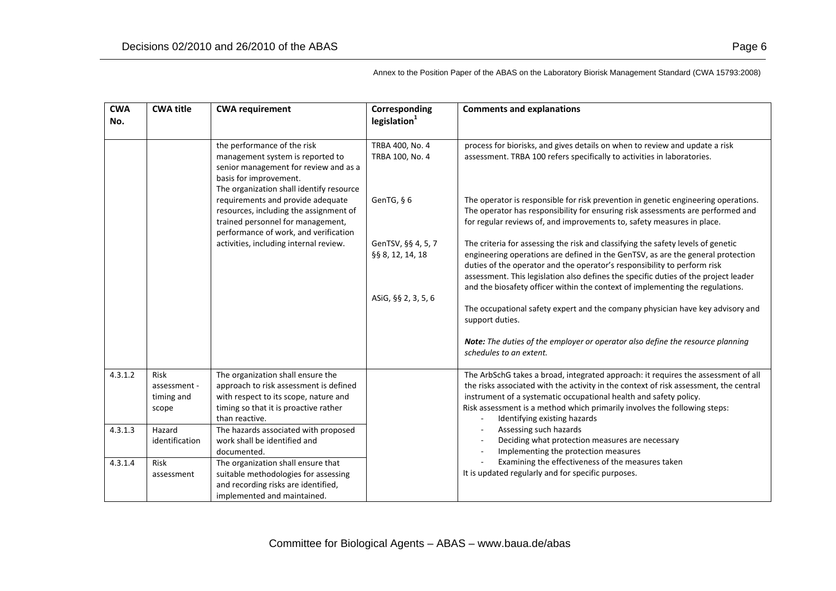| <b>CWA</b><br>No. | <b>CWA title</b>                                   | <b>CWA requirement</b>                                                                                                                                                                              | Corresponding<br>legislation <sup>1</sup>                                                                                                                                                                                                                          | <b>Comments and explanations</b>                                                                                                                                                                                                                                                                                                                                                                                                                                                                                                                                                                                                                                           |
|-------------------|----------------------------------------------------|-----------------------------------------------------------------------------------------------------------------------------------------------------------------------------------------------------|--------------------------------------------------------------------------------------------------------------------------------------------------------------------------------------------------------------------------------------------------------------------|----------------------------------------------------------------------------------------------------------------------------------------------------------------------------------------------------------------------------------------------------------------------------------------------------------------------------------------------------------------------------------------------------------------------------------------------------------------------------------------------------------------------------------------------------------------------------------------------------------------------------------------------------------------------------|
|                   |                                                    | the performance of the risk<br>management system is reported to<br>senior management for review and as a<br>basis for improvement.<br>The organization shall identify resource                      | TRBA 400, No. 4<br>TRBA 100, No. 4                                                                                                                                                                                                                                 | process for biorisks, and gives details on when to review and update a risk<br>assessment. TRBA 100 refers specifically to activities in laboratories.                                                                                                                                                                                                                                                                                                                                                                                                                                                                                                                     |
|                   |                                                    | requirements and provide adequate<br>resources, including the assignment of<br>trained personnel for management,<br>performance of work, and verification<br>activities, including internal review. | GenTG, § 6<br>GenTSV, §§ 4, 5, 7<br>§§ 8, 12, 14, 18<br>ASiG, §§ 2, 3, 5, 6                                                                                                                                                                                        | The operator is responsible for risk prevention in genetic engineering operations.<br>The operator has responsibility for ensuring risk assessments are performed and<br>for regular reviews of, and improvements to, safety measures in place.<br>The criteria for assessing the risk and classifying the safety levels of genetic<br>engineering operations are defined in the GenTSV, as are the general protection<br>duties of the operator and the operator's responsibility to perform risk<br>assessment. This legislation also defines the specific duties of the project leader<br>and the biosafety officer within the context of implementing the regulations. |
|                   |                                                    |                                                                                                                                                                                                     |                                                                                                                                                                                                                                                                    | The occupational safety expert and the company physician have key advisory and<br>support duties.<br>Note: The duties of the employer or operator also define the resource planning<br>schedules to an extent.                                                                                                                                                                                                                                                                                                                                                                                                                                                             |
| 4.3.1.2           | <b>Risk</b><br>assessment -<br>timing and<br>scope | The organization shall ensure the<br>approach to risk assessment is defined<br>with respect to its scope, nature and<br>timing so that it is proactive rather<br>than reactive.                     |                                                                                                                                                                                                                                                                    | The ArbSchG takes a broad, integrated approach: it requires the assessment of all<br>the risks associated with the activity in the context of risk assessment, the central<br>instrument of a systematic occupational health and safety policy.<br>Risk assessment is a method which primarily involves the following steps:<br>Identifying existing hazards<br>$\sim$                                                                                                                                                                                                                                                                                                     |
| 4.3.1.3           | Hazard<br>identification                           | The hazards associated with proposed<br>work shall be identified and<br>documented.                                                                                                                 | Assessing such hazards<br>$\overline{\phantom{a}}$<br>Deciding what protection measures are necessary<br>Implementing the protection measures<br>$\sim$<br>Examining the effectiveness of the measures taken<br>It is updated regularly and for specific purposes. |                                                                                                                                                                                                                                                                                                                                                                                                                                                                                                                                                                                                                                                                            |
| 4.3.1.4           | Risk<br>assessment                                 | The organization shall ensure that<br>suitable methodologies for assessing<br>and recording risks are identified,<br>implemented and maintained.                                                    |                                                                                                                                                                                                                                                                    |                                                                                                                                                                                                                                                                                                                                                                                                                                                                                                                                                                                                                                                                            |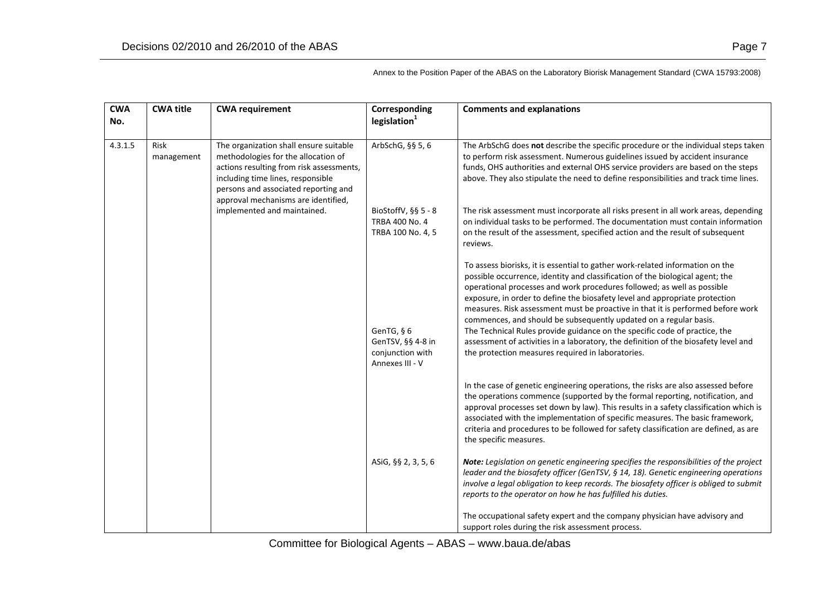| <b>CWA</b><br>No. | <b>CWA title</b>   | <b>CWA requirement</b>                                                                                                                                                                                                                        | Corresponding<br>legislation <sup>1</sup>                              | <b>Comments and explanations</b>                                                                                                                                                                                                                                                                                                                                                                                                                                                                                                                                                                                                                                                                           |
|-------------------|--------------------|-----------------------------------------------------------------------------------------------------------------------------------------------------------------------------------------------------------------------------------------------|------------------------------------------------------------------------|------------------------------------------------------------------------------------------------------------------------------------------------------------------------------------------------------------------------------------------------------------------------------------------------------------------------------------------------------------------------------------------------------------------------------------------------------------------------------------------------------------------------------------------------------------------------------------------------------------------------------------------------------------------------------------------------------------|
| 4.3.1.5           | Risk<br>management | The organization shall ensure suitable<br>methodologies for the allocation of<br>actions resulting from risk assessments,<br>including time lines, responsible<br>persons and associated reporting and<br>approval mechanisms are identified, | ArbSchG, §§ 5, 6                                                       | The ArbSchG does not describe the specific procedure or the individual steps taken<br>to perform risk assessment. Numerous guidelines issued by accident insurance<br>funds, OHS authorities and external OHS service providers are based on the steps<br>above. They also stipulate the need to define responsibilities and track time lines.                                                                                                                                                                                                                                                                                                                                                             |
|                   |                    | implemented and maintained.                                                                                                                                                                                                                   | BioStoffV, $\S$ § 5 - 8<br>TRBA 400 No. 4<br>TRBA 100 No. 4, 5         | The risk assessment must incorporate all risks present in all work areas, depending<br>on individual tasks to be performed. The documentation must contain information<br>on the result of the assessment, specified action and the result of subsequent<br>reviews.                                                                                                                                                                                                                                                                                                                                                                                                                                       |
|                   |                    |                                                                                                                                                                                                                                               | GenTG, § 6<br>GenTSV, §§ 4-8 in<br>conjunction with<br>Annexes III - V | To assess biorisks, it is essential to gather work-related information on the<br>possible occurrence, identity and classification of the biological agent; the<br>operational processes and work procedures followed; as well as possible<br>exposure, in order to define the biosafety level and appropriate protection<br>measures. Risk assessment must be proactive in that it is performed before work<br>commences, and should be subsequently updated on a regular basis.<br>The Technical Rules provide guidance on the specific code of practice, the<br>assessment of activities in a laboratory, the definition of the biosafety level and<br>the protection measures required in laboratories. |
|                   |                    |                                                                                                                                                                                                                                               |                                                                        | In the case of genetic engineering operations, the risks are also assessed before<br>the operations commence (supported by the formal reporting, notification, and<br>approval processes set down by law). This results in a safety classification which is<br>associated with the implementation of specific measures. The basic framework,<br>criteria and procedures to be followed for safety classification are defined, as are<br>the specific measures.                                                                                                                                                                                                                                             |
|                   |                    |                                                                                                                                                                                                                                               | ASiG, §§ 2, 3, 5, 6                                                    | Note: Legislation on genetic engineering specifies the responsibilities of the project<br>leader and the biosafety officer (GenTSV, § 14, 18). Genetic engineering operations<br>involve a legal obligation to keep records. The biosafety officer is obliged to submit<br>reports to the operator on how he has fulfilled his duties.                                                                                                                                                                                                                                                                                                                                                                     |
|                   |                    |                                                                                                                                                                                                                                               |                                                                        | The occupational safety expert and the company physician have advisory and<br>support roles during the risk assessment process.                                                                                                                                                                                                                                                                                                                                                                                                                                                                                                                                                                            |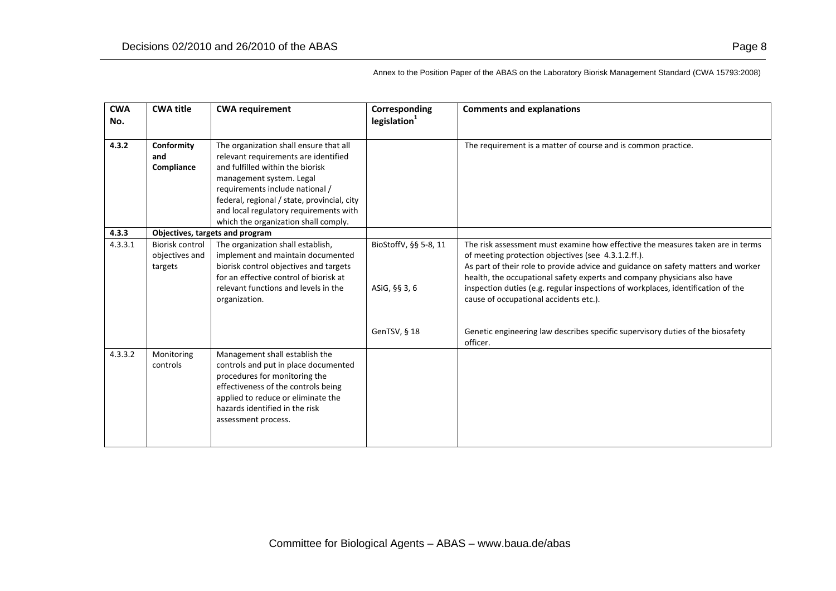| <b>CWA</b><br>No. | <b>CWA title</b>                             | <b>CWA requirement</b>                                                                                                                                                                                                                                                                                             | Corresponding<br>legislation <sup>1</sup> | <b>Comments and explanations</b>                                                                                                                                                                                                                                                                                                                                                                                                     |
|-------------------|----------------------------------------------|--------------------------------------------------------------------------------------------------------------------------------------------------------------------------------------------------------------------------------------------------------------------------------------------------------------------|-------------------------------------------|--------------------------------------------------------------------------------------------------------------------------------------------------------------------------------------------------------------------------------------------------------------------------------------------------------------------------------------------------------------------------------------------------------------------------------------|
| 4.3.2             | Conformity<br>and<br>Compliance              | The organization shall ensure that all<br>relevant requirements are identified<br>and fulfilled within the biorisk<br>management system. Legal<br>requirements include national /<br>federal, regional / state, provincial, city<br>and local regulatory requirements with<br>which the organization shall comply. |                                           | The requirement is a matter of course and is common practice.                                                                                                                                                                                                                                                                                                                                                                        |
| 4.3.3             |                                              | Objectives, targets and program                                                                                                                                                                                                                                                                                    |                                           |                                                                                                                                                                                                                                                                                                                                                                                                                                      |
| 4.3.3.1           | Biorisk control<br>objectives and<br>targets | The organization shall establish,<br>implement and maintain documented<br>biorisk control objectives and targets<br>for an effective control of biorisk at<br>relevant functions and levels in the<br>organization.                                                                                                | BioStoffV, §§ 5-8, 11<br>ASiG, §§ 3, 6    | The risk assessment must examine how effective the measures taken are in terms<br>of meeting protection objectives (see 4.3.1.2.ff.).<br>As part of their role to provide advice and guidance on safety matters and worker<br>health, the occupational safety experts and company physicians also have<br>inspection duties (e.g. regular inspections of workplaces, identification of the<br>cause of occupational accidents etc.). |
|                   |                                              |                                                                                                                                                                                                                                                                                                                    | GenTSV, § 18                              | Genetic engineering law describes specific supervisory duties of the biosafety<br>officer.                                                                                                                                                                                                                                                                                                                                           |
| 4.3.3.2           | Monitoring<br>controls                       | Management shall establish the<br>controls and put in place documented<br>procedures for monitoring the<br>effectiveness of the controls being<br>applied to reduce or eliminate the<br>hazards identified in the risk<br>assessment process.                                                                      |                                           |                                                                                                                                                                                                                                                                                                                                                                                                                                      |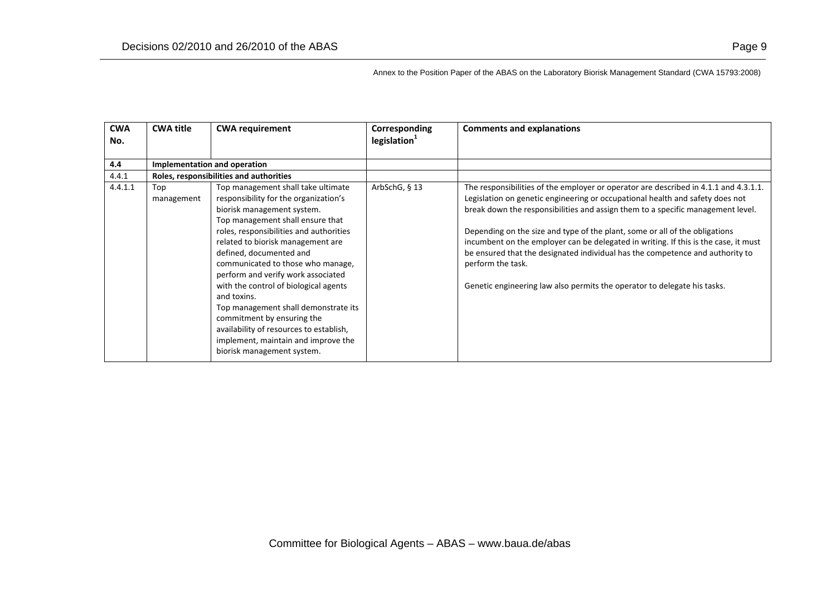| <b>CWA</b> | <b>CWA title</b>             | <b>CWA requirement</b>                  | Corresponding            | <b>Comments and explanations</b>                                                     |
|------------|------------------------------|-----------------------------------------|--------------------------|--------------------------------------------------------------------------------------|
| No.        |                              |                                         | legislation <sup>1</sup> |                                                                                      |
| 4.4        | Implementation and operation |                                         |                          |                                                                                      |
|            |                              |                                         |                          |                                                                                      |
| 4.4.1      |                              | Roles, responsibilities and authorities |                          |                                                                                      |
| 4.4.1.1    | Top                          | Top management shall take ultimate      | ArbSchG, § 13            | The responsibilities of the employer or operator are described in 4.1.1 and 4.3.1.1. |
|            | management                   | responsibility for the organization's   |                          | Legislation on genetic engineering or occupational health and safety does not        |
|            |                              | biorisk management system.              |                          | break down the responsibilities and assign them to a specific management level.      |
|            |                              | Top management shall ensure that        |                          |                                                                                      |
|            |                              | roles, responsibilities and authorities |                          | Depending on the size and type of the plant, some or all of the obligations          |
|            |                              | related to biorisk management are       |                          | incumbent on the employer can be delegated in writing. If this is the case, it must  |
|            |                              | defined, documented and                 |                          | be ensured that the designated individual has the competence and authority to        |
|            |                              | communicated to those who manage,       |                          | perform the task.                                                                    |
|            |                              | perform and verify work associated      |                          |                                                                                      |
|            |                              | with the control of biological agents   |                          | Genetic engineering law also permits the operator to delegate his tasks.             |
|            |                              | and toxins.                             |                          |                                                                                      |
|            |                              | Top management shall demonstrate its    |                          |                                                                                      |
|            |                              | commitment by ensuring the              |                          |                                                                                      |
|            |                              | availability of resources to establish, |                          |                                                                                      |
|            |                              |                                         |                          |                                                                                      |
|            |                              | implement, maintain and improve the     |                          |                                                                                      |
|            |                              | biorisk management system.              |                          |                                                                                      |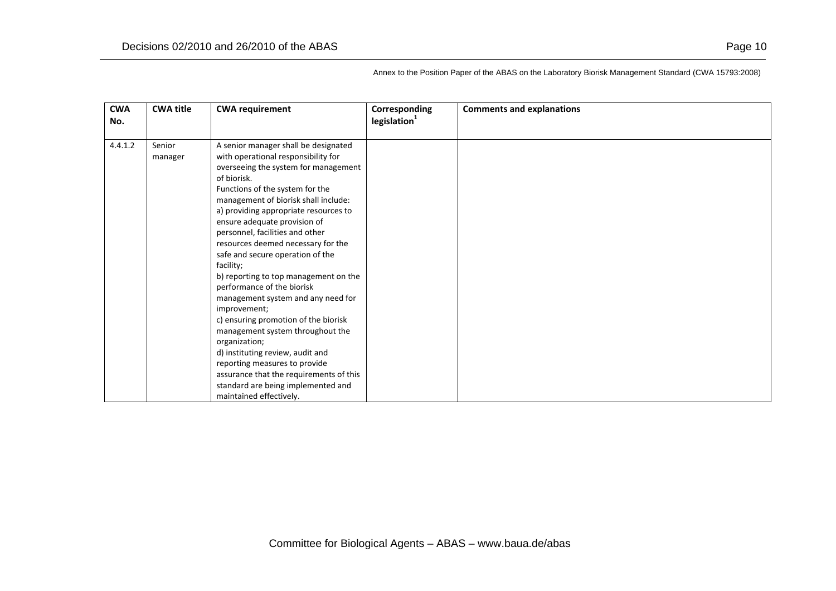| <b>CWA</b> | <b>CWA title</b>  | <b>CWA requirement</b>                                                                                                                                                                                                                                                                                                                                                                                                                                                                                                                                                                                                                                                                                                                                                                                                      | Corresponding   | <b>Comments and explanations</b> |
|------------|-------------------|-----------------------------------------------------------------------------------------------------------------------------------------------------------------------------------------------------------------------------------------------------------------------------------------------------------------------------------------------------------------------------------------------------------------------------------------------------------------------------------------------------------------------------------------------------------------------------------------------------------------------------------------------------------------------------------------------------------------------------------------------------------------------------------------------------------------------------|-----------------|----------------------------------|
| No.        |                   |                                                                                                                                                                                                                                                                                                                                                                                                                                                                                                                                                                                                                                                                                                                                                                                                                             | legislation $1$ |                                  |
| 4.4.1.2    | Senior<br>manager | A senior manager shall be designated<br>with operational responsibility for<br>overseeing the system for management<br>of biorisk.<br>Functions of the system for the<br>management of biorisk shall include:<br>a) providing appropriate resources to<br>ensure adequate provision of<br>personnel, facilities and other<br>resources deemed necessary for the<br>safe and secure operation of the<br>facility;<br>b) reporting to top management on the<br>performance of the biorisk<br>management system and any need for<br>improvement;<br>c) ensuring promotion of the biorisk<br>management system throughout the<br>organization;<br>d) instituting review, audit and<br>reporting measures to provide<br>assurance that the requirements of this<br>standard are being implemented and<br>maintained effectively. |                 |                                  |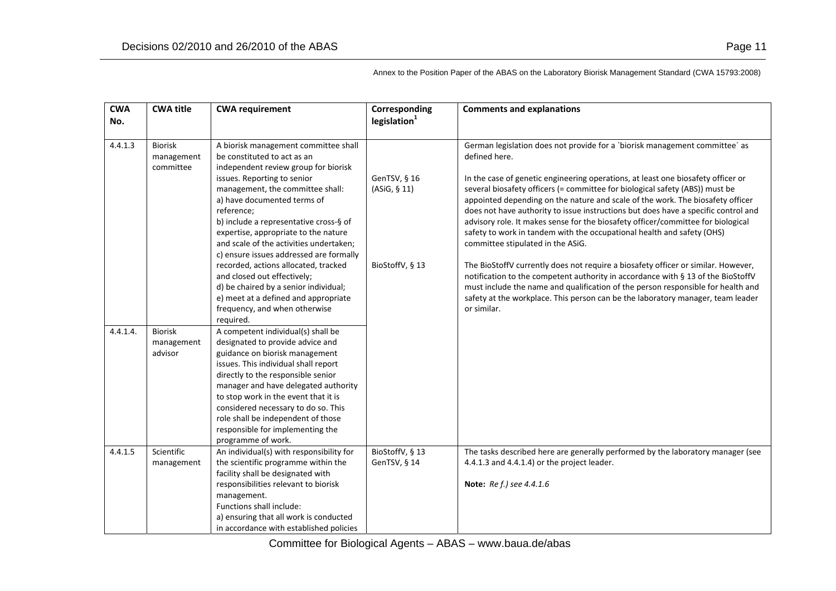| <b>CWA</b><br>No. | <b>CWA title</b>                          | <b>CWA requirement</b>                                                                                                                                                                                                                                                                                                                                                                                                                                                                                                                                                                                    | Corresponding<br>legislation <sup>1</sup>       | <b>Comments and explanations</b>                                                                                                                                                                                                                                                                                                                                                                                                                                                                                                                                                                                                                                                                                                                                                                                                                                                                                                                                                                           |
|-------------------|-------------------------------------------|-----------------------------------------------------------------------------------------------------------------------------------------------------------------------------------------------------------------------------------------------------------------------------------------------------------------------------------------------------------------------------------------------------------------------------------------------------------------------------------------------------------------------------------------------------------------------------------------------------------|-------------------------------------------------|------------------------------------------------------------------------------------------------------------------------------------------------------------------------------------------------------------------------------------------------------------------------------------------------------------------------------------------------------------------------------------------------------------------------------------------------------------------------------------------------------------------------------------------------------------------------------------------------------------------------------------------------------------------------------------------------------------------------------------------------------------------------------------------------------------------------------------------------------------------------------------------------------------------------------------------------------------------------------------------------------------|
| 4.4.1.3           | <b>Biorisk</b><br>management<br>committee | A biorisk management committee shall<br>be constituted to act as an<br>independent review group for biorisk<br>issues. Reporting to senior<br>management, the committee shall:<br>a) have documented terms of<br>reference;<br>b) include a representative cross-§ of<br>expertise, appropriate to the nature<br>and scale of the activities undertaken;<br>c) ensure issues addressed are formally<br>recorded, actions allocated, tracked<br>and closed out effectively;<br>d) be chaired by a senior individual;<br>e) meet at a defined and appropriate<br>frequency, and when otherwise<br>required. | GenTSV, § 16<br>(ASiG, § 11)<br>BioStoffV, § 13 | German legislation does not provide for a `biorisk management committee' as<br>defined here.<br>In the case of genetic engineering operations, at least one biosafety officer or<br>several biosafety officers (= committee for biological safety (ABS)) must be<br>appointed depending on the nature and scale of the work. The biosafety officer<br>does not have authority to issue instructions but does have a specific control and<br>advisory role. It makes sense for the biosafety officer/committee for biological<br>safety to work in tandem with the occupational health and safety (OHS)<br>committee stipulated in the ASiG.<br>The BioStoffV currently does not require a biosafety officer or similar. However,<br>notification to the competent authority in accordance with § 13 of the BioStoffV<br>must include the name and qualification of the person responsible for health and<br>safety at the workplace. This person can be the laboratory manager, team leader<br>or similar. |
| 4.4.1.4.          | <b>Biorisk</b><br>management<br>advisor   | A competent individual(s) shall be<br>designated to provide advice and<br>guidance on biorisk management<br>issues. This individual shall report<br>directly to the responsible senior<br>manager and have delegated authority<br>to stop work in the event that it is<br>considered necessary to do so. This<br>role shall be independent of those<br>responsible for implementing the<br>programme of work.                                                                                                                                                                                             |                                                 |                                                                                                                                                                                                                                                                                                                                                                                                                                                                                                                                                                                                                                                                                                                                                                                                                                                                                                                                                                                                            |
| 4.4.1.5           | Scientific<br>management                  | An individual(s) with responsibility for<br>the scientific programme within the<br>facility shall be designated with<br>responsibilities relevant to biorisk<br>management.<br>Functions shall include:<br>a) ensuring that all work is conducted<br>in accordance with established policies                                                                                                                                                                                                                                                                                                              | BioStoffV, § 13<br>GenTSV, § 14                 | The tasks described here are generally performed by the laboratory manager (see<br>4.4.1.3 and 4.4.1.4) or the project leader.<br>Note: Re f.) see 4.4.1.6                                                                                                                                                                                                                                                                                                                                                                                                                                                                                                                                                                                                                                                                                                                                                                                                                                                 |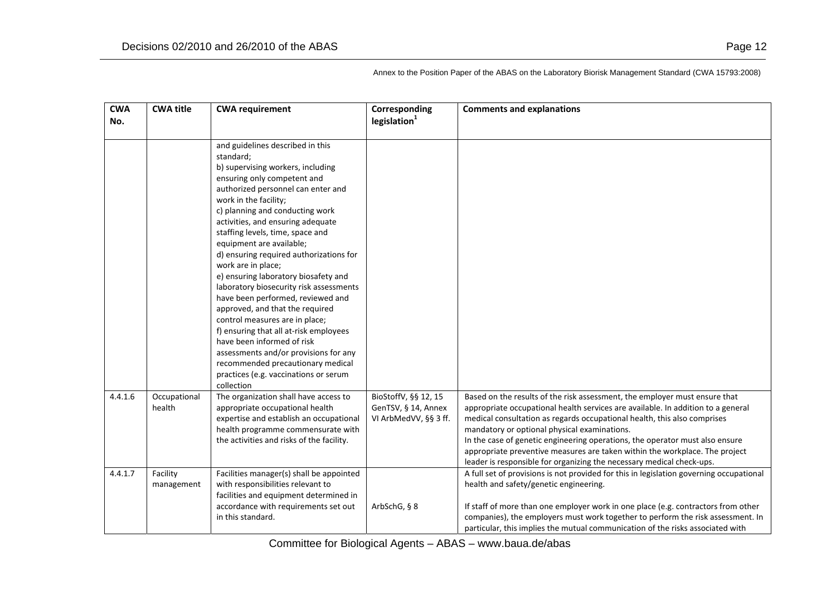| <b>CWA</b> | <b>CWA title</b> | <b>CWA requirement</b>                                        | Corresponding            | <b>Comments and explanations</b>                                                                                                                     |
|------------|------------------|---------------------------------------------------------------|--------------------------|------------------------------------------------------------------------------------------------------------------------------------------------------|
| No.        |                  |                                                               | legislation <sup>1</sup> |                                                                                                                                                      |
|            |                  |                                                               |                          |                                                                                                                                                      |
|            |                  | and guidelines described in this                              |                          |                                                                                                                                                      |
|            |                  | standard;                                                     |                          |                                                                                                                                                      |
|            |                  | b) supervising workers, including                             |                          |                                                                                                                                                      |
|            |                  | ensuring only competent and                                   |                          |                                                                                                                                                      |
|            |                  | authorized personnel can enter and                            |                          |                                                                                                                                                      |
|            |                  | work in the facility;                                         |                          |                                                                                                                                                      |
|            |                  | c) planning and conducting work                               |                          |                                                                                                                                                      |
|            |                  | activities, and ensuring adequate                             |                          |                                                                                                                                                      |
|            |                  | staffing levels, time, space and                              |                          |                                                                                                                                                      |
|            |                  | equipment are available;                                      |                          |                                                                                                                                                      |
|            |                  | d) ensuring required authorizations for<br>work are in place; |                          |                                                                                                                                                      |
|            |                  | e) ensuring laboratory biosafety and                          |                          |                                                                                                                                                      |
|            |                  | laboratory biosecurity risk assessments                       |                          |                                                                                                                                                      |
|            |                  | have been performed, reviewed and                             |                          |                                                                                                                                                      |
|            |                  | approved, and that the required                               |                          |                                                                                                                                                      |
|            |                  | control measures are in place;                                |                          |                                                                                                                                                      |
|            |                  | f) ensuring that all at-risk employees                        |                          |                                                                                                                                                      |
|            |                  | have been informed of risk                                    |                          |                                                                                                                                                      |
|            |                  | assessments and/or provisions for any                         |                          |                                                                                                                                                      |
|            |                  | recommended precautionary medical                             |                          |                                                                                                                                                      |
|            |                  | practices (e.g. vaccinations or serum                         |                          |                                                                                                                                                      |
|            |                  | collection                                                    |                          |                                                                                                                                                      |
| 4.4.1.6    | Occupational     | The organization shall have access to                         | BioStoffV, §§ 12, 15     | Based on the results of the risk assessment, the employer must ensure that                                                                           |
|            | health           | appropriate occupational health                               | GenTSV, § 14, Annex      | appropriate occupational health services are available. In addition to a general                                                                     |
|            |                  | expertise and establish an occupational                       | VI ArbMedVV, §§ 3 ff.    | medical consultation as regards occupational health, this also comprises                                                                             |
|            |                  | health programme commensurate with                            |                          | mandatory or optional physical examinations.                                                                                                         |
|            |                  | the activities and risks of the facility.                     |                          | In the case of genetic engineering operations, the operator must also ensure                                                                         |
|            |                  |                                                               |                          | appropriate preventive measures are taken within the workplace. The project<br>leader is responsible for organizing the necessary medical check-ups. |
| 4.4.1.7    | Facility         | Facilities manager(s) shall be appointed                      |                          | A full set of provisions is not provided for this in legislation governing occupational                                                              |
|            | management       | with responsibilities relevant to                             |                          | health and safety/genetic engineering.                                                                                                               |
|            |                  | facilities and equipment determined in                        |                          |                                                                                                                                                      |
|            |                  | accordance with requirements set out                          | ArbSchG, § 8             | If staff of more than one employer work in one place (e.g. contractors from other                                                                    |
|            |                  | in this standard.                                             |                          | companies), the employers must work together to perform the risk assessment. In                                                                      |
|            |                  |                                                               |                          | particular, this implies the mutual communication of the risks associated with                                                                       |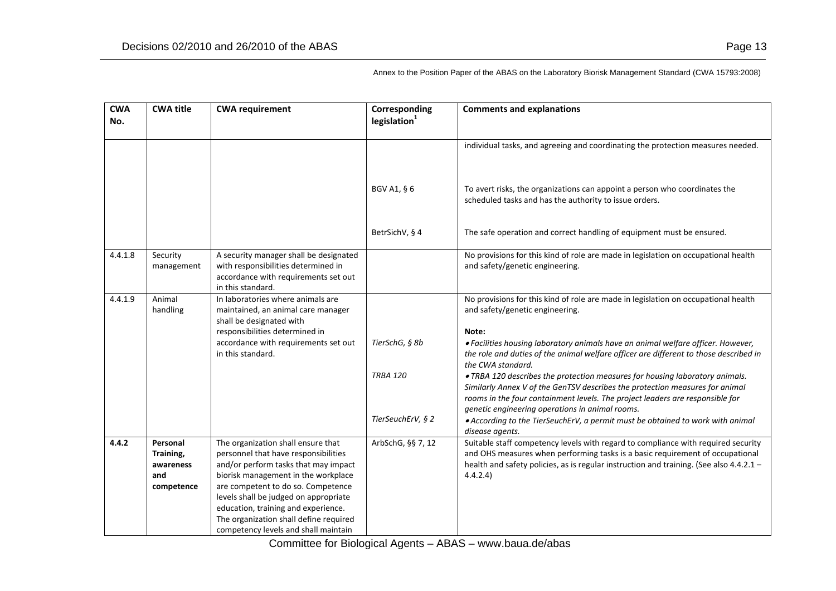| <b>CWA</b><br>No. | <b>CWA title</b>                                        | <b>CWA requirement</b>                                                                                                                                                                                                                                                          | Corresponding<br>legislation <sup>1</sup> | <b>Comments and explanations</b>                                                                                                                                                                                                                                          |
|-------------------|---------------------------------------------------------|---------------------------------------------------------------------------------------------------------------------------------------------------------------------------------------------------------------------------------------------------------------------------------|-------------------------------------------|---------------------------------------------------------------------------------------------------------------------------------------------------------------------------------------------------------------------------------------------------------------------------|
|                   |                                                         |                                                                                                                                                                                                                                                                                 |                                           | individual tasks, and agreeing and coordinating the protection measures needed.                                                                                                                                                                                           |
|                   |                                                         |                                                                                                                                                                                                                                                                                 | BGV A1, § 6                               | To avert risks, the organizations can appoint a person who coordinates the<br>scheduled tasks and has the authority to issue orders.                                                                                                                                      |
|                   |                                                         |                                                                                                                                                                                                                                                                                 | BetrSichV, § 4                            | The safe operation and correct handling of equipment must be ensured.                                                                                                                                                                                                     |
| 4.4.1.8           | Security<br>management                                  | A security manager shall be designated<br>with responsibilities determined in<br>accordance with requirements set out<br>in this standard.                                                                                                                                      |                                           | No provisions for this kind of role are made in legislation on occupational health<br>and safety/genetic engineering.                                                                                                                                                     |
| 4.4.1.9           | Animal<br>handling                                      | In laboratories where animals are<br>maintained, an animal care manager<br>shall be designated with                                                                                                                                                                             |                                           | No provisions for this kind of role are made in legislation on occupational health<br>and safety/genetic engineering.                                                                                                                                                     |
|                   |                                                         | responsibilities determined in<br>accordance with requirements set out<br>in this standard.                                                                                                                                                                                     | TierSchG, § 8b                            | Note:<br>. Facilities housing laboratory animals have an animal welfare officer. However,<br>the role and duties of the animal welfare officer are different to those described in<br>the CWA standard.                                                                   |
|                   |                                                         |                                                                                                                                                                                                                                                                                 | <b>TRBA 120</b>                           | .TRBA 120 describes the protection measures for housing laboratory animals.<br>Similarly Annex V of the GenTSV describes the protection measures for animal<br>rooms in the four containment levels. The project leaders are responsible for                              |
|                   |                                                         |                                                                                                                                                                                                                                                                                 | TierSeuchErV, § 2                         | genetic engineering operations in animal rooms.<br>• According to the TierSeuchErV, a permit must be obtained to work with animal<br>disease agents.                                                                                                                      |
| 4.4.2             | Personal<br>Training,<br>awareness<br>and<br>competence | The organization shall ensure that<br>personnel that have responsibilities<br>and/or perform tasks that may impact<br>biorisk management in the workplace<br>are competent to do so. Competence<br>levels shall be judged on appropriate<br>education, training and experience. | ArbSchG, §§ 7, 12                         | Suitable staff competency levels with regard to compliance with required security<br>and OHS measures when performing tasks is a basic requirement of occupational<br>health and safety policies, as is regular instruction and training. (See also 4.4.2.1 -<br>4.4.2.4) |
|                   |                                                         | The organization shall define required<br>competency levels and shall maintain                                                                                                                                                                                                  |                                           |                                                                                                                                                                                                                                                                           |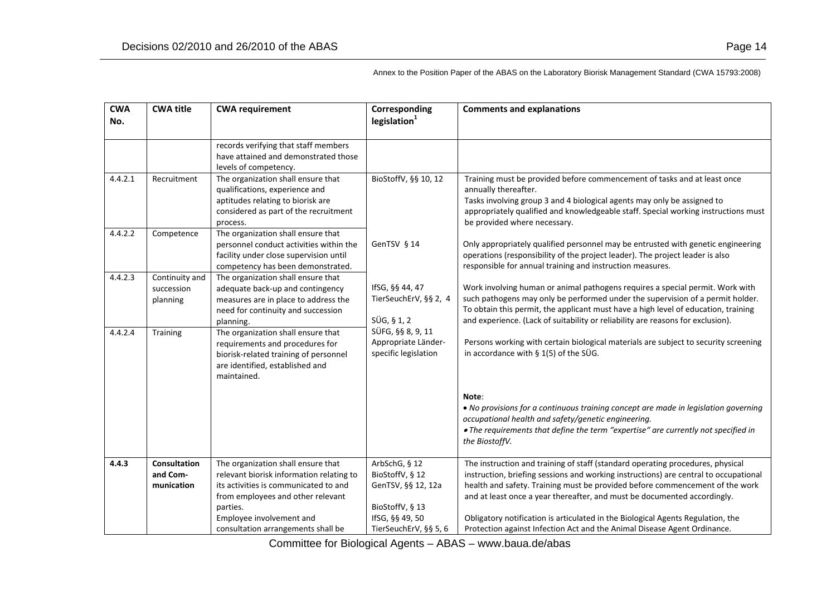| <b>CWA</b>         | <b>CWA title</b>                                     | <b>CWA requirement</b>                                                                                                                                                                                                                                                                                                                                                                             | Corresponding                                                                                                                  | <b>Comments and explanations</b>                                                                                                                                                                                                                                                                                                                                                                                                                                                                                                         |
|--------------------|------------------------------------------------------|----------------------------------------------------------------------------------------------------------------------------------------------------------------------------------------------------------------------------------------------------------------------------------------------------------------------------------------------------------------------------------------------------|--------------------------------------------------------------------------------------------------------------------------------|------------------------------------------------------------------------------------------------------------------------------------------------------------------------------------------------------------------------------------------------------------------------------------------------------------------------------------------------------------------------------------------------------------------------------------------------------------------------------------------------------------------------------------------|
| No.                |                                                      |                                                                                                                                                                                                                                                                                                                                                                                                    | legislation <sup>1</sup>                                                                                                       |                                                                                                                                                                                                                                                                                                                                                                                                                                                                                                                                          |
| 4.4.2.1<br>4.4.2.2 | Recruitment<br>Competence                            | records verifying that staff members<br>have attained and demonstrated those<br>levels of competency.<br>The organization shall ensure that<br>qualifications, experience and<br>aptitudes relating to biorisk are<br>considered as part of the recruitment<br>process.<br>The organization shall ensure that<br>personnel conduct activities within the<br>facility under close supervision until | BioStoffV, §§ 10, 12<br>GenTSV § 14                                                                                            | Training must be provided before commencement of tasks and at least once<br>annually thereafter.<br>Tasks involving group 3 and 4 biological agents may only be assigned to<br>appropriately qualified and knowledgeable staff. Special working instructions must<br>be provided where necessary.<br>Only appropriately qualified personnel may be entrusted with genetic engineering<br>operations (responsibility of the project leader). The project leader is also                                                                   |
| 4.4.2.3<br>4.4.2.4 | Continuity and<br>succession<br>planning<br>Training | competency has been demonstrated.<br>The organization shall ensure that<br>adequate back-up and contingency<br>measures are in place to address the<br>need for continuity and succession<br>planning.<br>The organization shall ensure that<br>requirements and procedures for<br>biorisk-related training of personnel<br>are identified, established and<br>maintained.                         | IfSG, §§ 44, 47<br>TierSeuchErV, §§ 2, 4<br>$SÜG, \S 1, 2$<br>SÜFG, §§ 8, 9, 11<br>Appropriate Länder-<br>specific legislation | responsible for annual training and instruction measures.<br>Work involving human or animal pathogens requires a special permit. Work with<br>such pathogens may only be performed under the supervision of a permit holder.<br>To obtain this permit, the applicant must have a high level of education, training<br>and experience. (Lack of suitability or reliability are reasons for exclusion).<br>Persons working with certain biological materials are subject to security screening<br>in accordance with $\S$ 1(5) of the SÜG. |
|                    |                                                      |                                                                                                                                                                                                                                                                                                                                                                                                    |                                                                                                                                | Note:<br>. No provisions for a continuous training concept are made in legislation governing<br>occupational health and safety/genetic engineering.<br>. The requirements that define the term "expertise" are currently not specified in<br>the BiostoffV.                                                                                                                                                                                                                                                                              |
| 4.4.3              | <b>Consultation</b><br>and Com-<br>munication        | The organization shall ensure that<br>relevant biorisk information relating to<br>its activities is communicated to and<br>from employees and other relevant<br>parties.<br>Employee involvement and<br>consultation arrangements shall be                                                                                                                                                         | ArbSchG, § 12<br>BioStoffV, § 12<br>GenTSV, §§ 12, 12a<br>BioStoffV, § 13<br>IfSG, §§ 49, 50<br>TierSeuchErV, §§ 5, 6          | The instruction and training of staff (standard operating procedures, physical<br>instruction, briefing sessions and working instructions) are central to occupational<br>health and safety. Training must be provided before commencement of the work<br>and at least once a year thereafter, and must be documented accordingly.<br>Obligatory notification is articulated in the Biological Agents Regulation, the<br>Protection against Infection Act and the Animal Disease Agent Ordinance.                                        |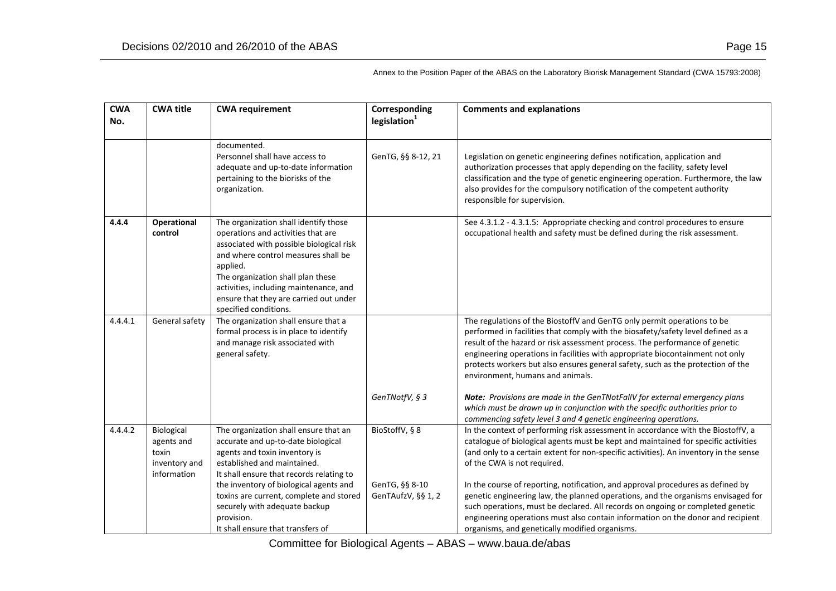| <b>CWA</b><br>No. | <b>CWA title</b>                                                  | <b>CWA requirement</b>                                                                                                                                                                                                                                                                                                       | Corresponding<br>legislation <sup>1</sup> | <b>Comments and explanations</b>                                                                                                                                                                                                                                                                                                                                                                                                                   |
|-------------------|-------------------------------------------------------------------|------------------------------------------------------------------------------------------------------------------------------------------------------------------------------------------------------------------------------------------------------------------------------------------------------------------------------|-------------------------------------------|----------------------------------------------------------------------------------------------------------------------------------------------------------------------------------------------------------------------------------------------------------------------------------------------------------------------------------------------------------------------------------------------------------------------------------------------------|
|                   |                                                                   | documented.<br>Personnel shall have access to<br>adequate and up-to-date information<br>pertaining to the biorisks of the<br>organization.                                                                                                                                                                                   | GenTG, §§ 8-12, 21                        | Legislation on genetic engineering defines notification, application and<br>authorization processes that apply depending on the facility, safety level<br>classification and the type of genetic engineering operation. Furthermore, the law<br>also provides for the compulsory notification of the competent authority<br>responsible for supervision.                                                                                           |
| 4.4.4             | <b>Operational</b><br>control                                     | The organization shall identify those<br>operations and activities that are<br>associated with possible biological risk<br>and where control measures shall be<br>applied.<br>The organization shall plan these<br>activities, including maintenance, and<br>ensure that they are carried out under<br>specified conditions. |                                           | See 4.3.1.2 - 4.3.1.5: Appropriate checking and control procedures to ensure<br>occupational health and safety must be defined during the risk assessment.                                                                                                                                                                                                                                                                                         |
| 4.4.4.1           | General safety                                                    | The organization shall ensure that a<br>formal process is in place to identify<br>and manage risk associated with<br>general safety.                                                                                                                                                                                         |                                           | The regulations of the BiostoffV and GenTG only permit operations to be<br>performed in facilities that comply with the biosafety/safety level defined as a<br>result of the hazard or risk assessment process. The performance of genetic<br>engineering operations in facilities with appropriate biocontainment not only<br>protects workers but also ensures general safety, such as the protection of the<br>environment, humans and animals. |
|                   |                                                                   |                                                                                                                                                                                                                                                                                                                              | GenTNotfV, § 3                            | Note: Provisions are made in the GenTNotFallV for external emergency plans<br>which must be drawn up in conjunction with the specific authorities prior to<br>commencing safety level 3 and 4 genetic engineering operations.                                                                                                                                                                                                                      |
| 4.4.4.2           | Biological<br>agents and<br>toxin<br>inventory and<br>information | The organization shall ensure that an<br>accurate and up-to-date biological<br>agents and toxin inventory is<br>established and maintained.<br>It shall ensure that records relating to                                                                                                                                      | BioStoffV, § 8                            | In the context of performing risk assessment in accordance with the BiostoffV, a<br>catalogue of biological agents must be kept and maintained for specific activities<br>(and only to a certain extent for non-specific activities). An inventory in the sense<br>of the CWA is not required.                                                                                                                                                     |
|                   |                                                                   | the inventory of biological agents and<br>toxins are current, complete and stored<br>securely with adequate backup<br>provision.<br>It shall ensure that transfers of                                                                                                                                                        | GenTG, §§ 8-10<br>GenTAufzV, §§ 1, 2      | In the course of reporting, notification, and approval procedures as defined by<br>genetic engineering law, the planned operations, and the organisms envisaged for<br>such operations, must be declared. All records on ongoing or completed genetic<br>engineering operations must also contain information on the donor and recipient<br>organisms, and genetically modified organisms.                                                         |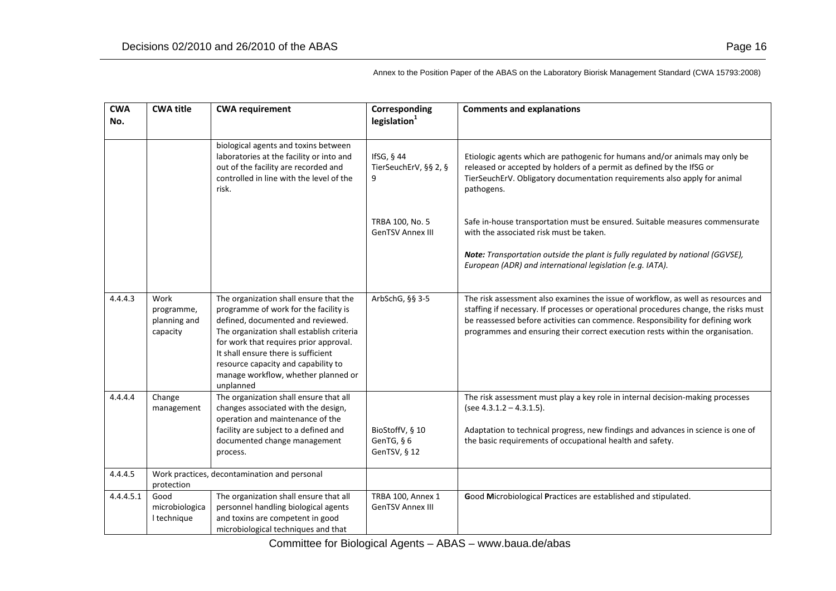| <b>CWA</b><br>No. | <b>CWA title</b>                               | <b>CWA requirement</b>                                                                                                                                                                                                                                                                                                                        | Corresponding<br>legislation <sup>1</sup>     | <b>Comments and explanations</b>                                                                                                                                                                                                                                                                                                              |
|-------------------|------------------------------------------------|-----------------------------------------------------------------------------------------------------------------------------------------------------------------------------------------------------------------------------------------------------------------------------------------------------------------------------------------------|-----------------------------------------------|-----------------------------------------------------------------------------------------------------------------------------------------------------------------------------------------------------------------------------------------------------------------------------------------------------------------------------------------------|
|                   |                                                | biological agents and toxins between<br>laboratories at the facility or into and<br>out of the facility are recorded and<br>controlled in line with the level of the<br>risk.                                                                                                                                                                 | IfSG, § 44<br>TierSeuchErV, §§ 2, §<br>9      | Etiologic agents which are pathogenic for humans and/or animals may only be<br>released or accepted by holders of a permit as defined by the IfSG or<br>TierSeuchErV. Obligatory documentation requirements also apply for animal<br>pathogens.                                                                                               |
|                   |                                                |                                                                                                                                                                                                                                                                                                                                               | TRBA 100, No. 5<br><b>GenTSV Annex III</b>    | Safe in-house transportation must be ensured. Suitable measures commensurate<br>with the associated risk must be taken.<br>Note: Transportation outside the plant is fully regulated by national (GGVSE),<br>European (ADR) and international legislation (e.g. IATA).                                                                        |
| 4.4.4.3           | Work<br>programme,<br>planning and<br>capacity | The organization shall ensure that the<br>programme of work for the facility is<br>defined, documented and reviewed.<br>The organization shall establish criteria<br>for work that requires prior approval.<br>It shall ensure there is sufficient<br>resource capacity and capability to<br>manage workflow, whether planned or<br>unplanned | ArbSchG, §§ 3-5                               | The risk assessment also examines the issue of workflow, as well as resources and<br>staffing if necessary. If processes or operational procedures change, the risks must<br>be reassessed before activities can commence. Responsibility for defining work<br>programmes and ensuring their correct execution rests within the organisation. |
| 4.4.4.4           | Change<br>management                           | The organization shall ensure that all<br>changes associated with the design,<br>operation and maintenance of the<br>facility are subject to a defined and<br>documented change management<br>process.                                                                                                                                        | BioStoffV, § 10<br>GenTG, § 6<br>GenTSV, § 12 | The risk assessment must play a key role in internal decision-making processes<br>(see $4.3.1.2 - 4.3.1.5$ ).<br>Adaptation to technical progress, new findings and advances in science is one of<br>the basic requirements of occupational health and safety.                                                                                |
| 4.4.4.5           | protection                                     | Work practices, decontamination and personal                                                                                                                                                                                                                                                                                                  |                                               |                                                                                                                                                                                                                                                                                                                                               |
| 4.4.4.5.1         | Good<br>microbiologica<br>I technique          | The organization shall ensure that all<br>personnel handling biological agents<br>and toxins are competent in good<br>microbiological techniques and that                                                                                                                                                                                     | TRBA 100, Annex 1<br><b>GenTSV Annex III</b>  | Good Microbiological Practices are established and stipulated.                                                                                                                                                                                                                                                                                |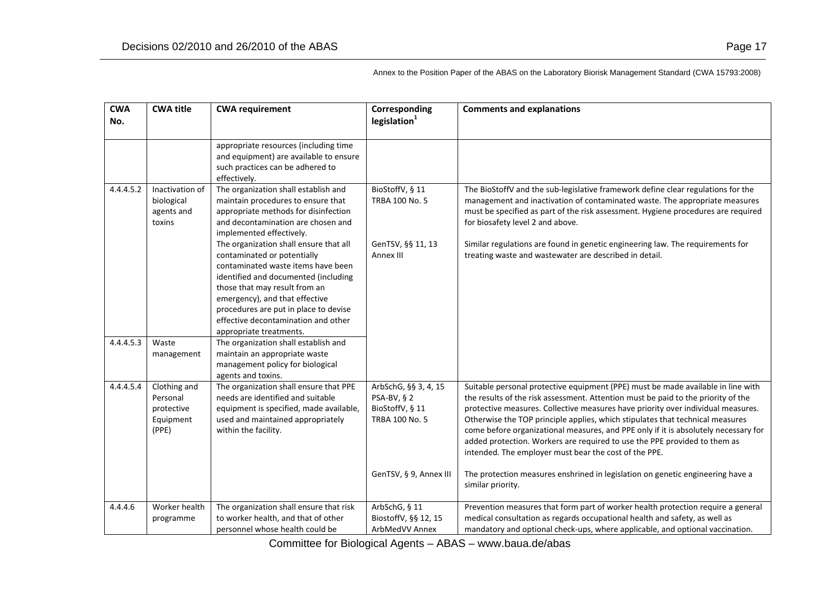| <b>CWA</b> | <b>CWA title</b>                                             | <b>CWA requirement</b>                                                                                                                                                                                                                                                                                                            | Corresponding                                                                   | <b>Comments and explanations</b>                                                                                                                                                                                                                                                                                                                                                                                                                                                                                                                                        |
|------------|--------------------------------------------------------------|-----------------------------------------------------------------------------------------------------------------------------------------------------------------------------------------------------------------------------------------------------------------------------------------------------------------------------------|---------------------------------------------------------------------------------|-------------------------------------------------------------------------------------------------------------------------------------------------------------------------------------------------------------------------------------------------------------------------------------------------------------------------------------------------------------------------------------------------------------------------------------------------------------------------------------------------------------------------------------------------------------------------|
| No.        |                                                              |                                                                                                                                                                                                                                                                                                                                   | legislation <sup>1</sup>                                                        |                                                                                                                                                                                                                                                                                                                                                                                                                                                                                                                                                                         |
|            |                                                              | appropriate resources (including time                                                                                                                                                                                                                                                                                             |                                                                                 |                                                                                                                                                                                                                                                                                                                                                                                                                                                                                                                                                                         |
|            |                                                              | and equipment) are available to ensure<br>such practices can be adhered to<br>effectively.                                                                                                                                                                                                                                        |                                                                                 |                                                                                                                                                                                                                                                                                                                                                                                                                                                                                                                                                                         |
| 4.4.4.5.2  | Inactivation of<br>biological<br>agents and<br>toxins        | The organization shall establish and<br>maintain procedures to ensure that<br>appropriate methods for disinfection<br>and decontamination are chosen and<br>implemented effectively.                                                                                                                                              | BioStoffV, § 11<br>TRBA 100 No. 5                                               | The BioStoffV and the sub-legislative framework define clear regulations for the<br>management and inactivation of contaminated waste. The appropriate measures<br>must be specified as part of the risk assessment. Hygiene procedures are required<br>for biosafety level 2 and above.                                                                                                                                                                                                                                                                                |
|            |                                                              | The organization shall ensure that all<br>contaminated or potentially<br>contaminated waste items have been<br>identified and documented (including<br>those that may result from an<br>emergency), and that effective<br>procedures are put in place to devise<br>effective decontamination and other<br>appropriate treatments. | GenTSV, §§ 11, 13<br>Annex III                                                  | Similar regulations are found in genetic engineering law. The requirements for<br>treating waste and wastewater are described in detail.                                                                                                                                                                                                                                                                                                                                                                                                                                |
| 4.4.4.5.3  | Waste<br>management                                          | The organization shall establish and<br>maintain an appropriate waste<br>management policy for biological<br>agents and toxins.                                                                                                                                                                                                   |                                                                                 |                                                                                                                                                                                                                                                                                                                                                                                                                                                                                                                                                                         |
| 4.4.4.5.4  | Clothing and<br>Personal<br>protective<br>Equipment<br>(PPE) | The organization shall ensure that PPE<br>needs are identified and suitable<br>equipment is specified, made available,<br>used and maintained appropriately<br>within the facility.                                                                                                                                               | ArbSchG, §§ 3, 4, 15<br>PSA-BV, § 2<br>BioStoffV, § 11<br><b>TRBA 100 No. 5</b> | Suitable personal protective equipment (PPE) must be made available in line with<br>the results of the risk assessment. Attention must be paid to the priority of the<br>protective measures. Collective measures have priority over individual measures.<br>Otherwise the TOP principle applies, which stipulates that technical measures<br>come before organizational measures, and PPE only if it is absolutely necessary for<br>added protection. Workers are required to use the PPE provided to them as<br>intended. The employer must bear the cost of the PPE. |
|            |                                                              |                                                                                                                                                                                                                                                                                                                                   | GenTSV, § 9, Annex III                                                          | The protection measures enshrined in legislation on genetic engineering have a<br>similar priority.                                                                                                                                                                                                                                                                                                                                                                                                                                                                     |
| 4.4.4.6    | Worker health<br>programme                                   | The organization shall ensure that risk<br>to worker health, and that of other<br>personnel whose health could be                                                                                                                                                                                                                 | ArbSchG, § 11<br>BiostoffV, §§ 12, 15<br>ArbMedVV Annex                         | Prevention measures that form part of worker health protection require a general<br>medical consultation as regards occupational health and safety, as well as<br>mandatory and optional check-ups, where applicable, and optional vaccination.                                                                                                                                                                                                                                                                                                                         |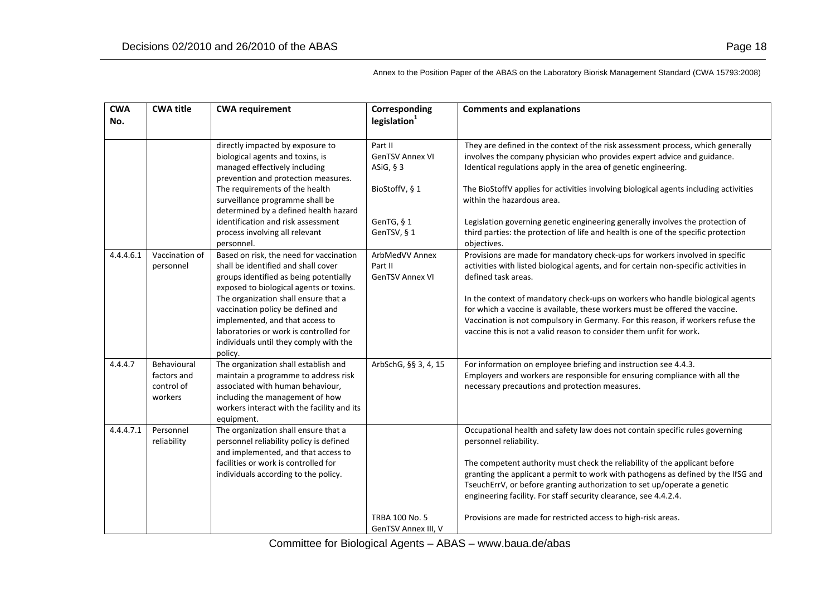| <b>CWA</b><br>No. | <b>CWA title</b>                                    | <b>CWA requirement</b>                                                                                                                                                                                          | Corresponding<br>legislation <sup>1</sup>           | <b>Comments and explanations</b>                                                                                                                                                                                                                                                                                                                                                                                          |
|-------------------|-----------------------------------------------------|-----------------------------------------------------------------------------------------------------------------------------------------------------------------------------------------------------------------|-----------------------------------------------------|---------------------------------------------------------------------------------------------------------------------------------------------------------------------------------------------------------------------------------------------------------------------------------------------------------------------------------------------------------------------------------------------------------------------------|
|                   |                                                     | directly impacted by exposure to<br>biological agents and toxins, is<br>managed effectively including<br>prevention and protection measures.                                                                    | Part II<br><b>GenTSV Annex VI</b><br>ASiG, $§$ 3    | They are defined in the context of the risk assessment process, which generally<br>involves the company physician who provides expert advice and guidance.<br>Identical regulations apply in the area of genetic engineering.                                                                                                                                                                                             |
|                   |                                                     | The requirements of the health<br>surveillance programme shall be<br>determined by a defined health hazard                                                                                                      | BioStoffV, § 1                                      | The BioStoffV applies for activities involving biological agents including activities<br>within the hazardous area.                                                                                                                                                                                                                                                                                                       |
|                   |                                                     | identification and risk assessment<br>process involving all relevant<br>personnel.                                                                                                                              | GenTG, § 1<br>GenTSV, § 1                           | Legislation governing genetic engineering generally involves the protection of<br>third parties: the protection of life and health is one of the specific protection<br>objectives.                                                                                                                                                                                                                                       |
| 4.4.4.6.1         | Vaccination of<br>personnel                         | Based on risk, the need for vaccination<br>shall be identified and shall cover<br>groups identified as being potentially<br>exposed to biological agents or toxins.                                             | ArbMedVV Annex<br>Part II<br><b>GenTSV Annex VI</b> | Provisions are made for mandatory check-ups for workers involved in specific<br>activities with listed biological agents, and for certain non-specific activities in<br>defined task areas.                                                                                                                                                                                                                               |
|                   |                                                     | The organization shall ensure that a<br>vaccination policy be defined and<br>implemented, and that access to<br>laboratories or work is controlled for<br>individuals until they comply with the<br>policy.     |                                                     | In the context of mandatory check-ups on workers who handle biological agents<br>for which a vaccine is available, these workers must be offered the vaccine.<br>Vaccination is not compulsory in Germany. For this reason, if workers refuse the<br>vaccine this is not a valid reason to consider them unfit for work.                                                                                                  |
| 4.4.4.7           | Behavioural<br>factors and<br>control of<br>workers | The organization shall establish and<br>maintain a programme to address risk<br>associated with human behaviour,<br>including the management of how<br>workers interact with the facility and its<br>equipment. | ArbSchG, §§ 3, 4, 15                                | For information on employee briefing and instruction see 4.4.3.<br>Employers and workers are responsible for ensuring compliance with all the<br>necessary precautions and protection measures.                                                                                                                                                                                                                           |
| 4.4.4.7.1         | Personnel<br>reliability                            | The organization shall ensure that a<br>personnel reliability policy is defined<br>and implemented, and that access to<br>facilities or work is controlled for<br>individuals according to the policy.          |                                                     | Occupational health and safety law does not contain specific rules governing<br>personnel reliability.<br>The competent authority must check the reliability of the applicant before<br>granting the applicant a permit to work with pathogens as defined by the IfSG and<br>TseuchErrV, or before granting authorization to set up/operate a genetic<br>engineering facility. For staff security clearance, see 4.4.2.4. |
|                   |                                                     |                                                                                                                                                                                                                 | <b>TRBA 100 No. 5</b><br>GenTSV Annex III, V        | Provisions are made for restricted access to high-risk areas.                                                                                                                                                                                                                                                                                                                                                             |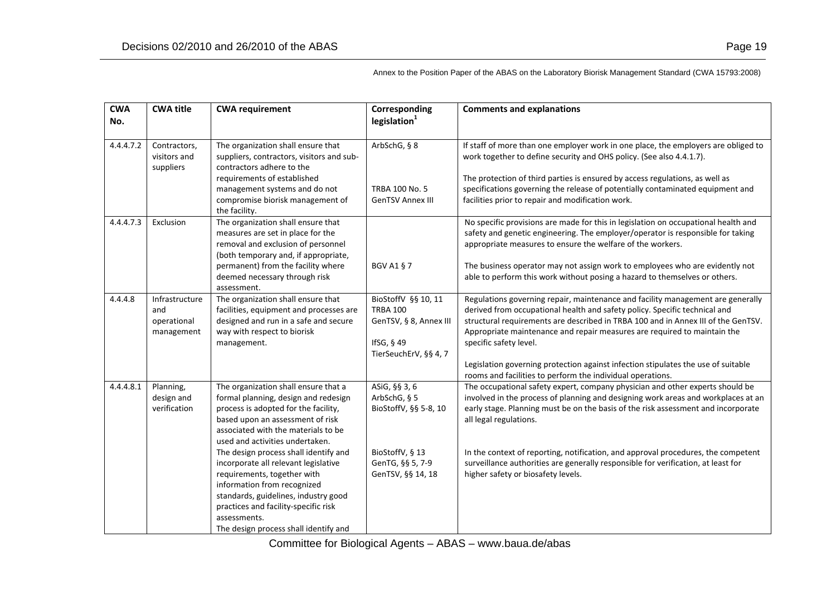| <b>CWA</b><br>No. | <b>CWA title</b>                                   | <b>CWA requirement</b>                                                                                                                                                                                                                                                                                                                                                                                                                                                                                                     | Corresponding<br>legislation <sup>1</sup>                                                                          | <b>Comments and explanations</b>                                                                                                                                                                                                                                                                                                                                                                                                                                                                            |
|-------------------|----------------------------------------------------|----------------------------------------------------------------------------------------------------------------------------------------------------------------------------------------------------------------------------------------------------------------------------------------------------------------------------------------------------------------------------------------------------------------------------------------------------------------------------------------------------------------------------|--------------------------------------------------------------------------------------------------------------------|-------------------------------------------------------------------------------------------------------------------------------------------------------------------------------------------------------------------------------------------------------------------------------------------------------------------------------------------------------------------------------------------------------------------------------------------------------------------------------------------------------------|
| 4.4.4.7.2         | Contractors,<br>visitors and<br>suppliers          | The organization shall ensure that<br>suppliers, contractors, visitors and sub-<br>contractors adhere to the<br>requirements of established<br>management systems and do not<br>compromise biorisk management of<br>the facility.                                                                                                                                                                                                                                                                                          | ArbSchG, § 8<br>TRBA 100 No. 5<br><b>GenTSV Annex III</b>                                                          | If staff of more than one employer work in one place, the employers are obliged to<br>work together to define security and OHS policy. (See also 4.4.1.7).<br>The protection of third parties is ensured by access regulations, as well as<br>specifications governing the release of potentially contaminated equipment and<br>facilities prior to repair and modification work.                                                                                                                           |
| 4.4.4.7.3         | Exclusion                                          | The organization shall ensure that<br>measures are set in place for the<br>removal and exclusion of personnel<br>(both temporary and, if appropriate,<br>permanent) from the facility where<br>deemed necessary through risk<br>assessment.                                                                                                                                                                                                                                                                                | <b>BGV A1 § 7</b>                                                                                                  | No specific provisions are made for this in legislation on occupational health and<br>safety and genetic engineering. The employer/operator is responsible for taking<br>appropriate measures to ensure the welfare of the workers.<br>The business operator may not assign work to employees who are evidently not<br>able to perform this work without posing a hazard to themselves or others.                                                                                                           |
| 4.4.4.8           | Infrastructure<br>and<br>operational<br>management | The organization shall ensure that<br>facilities, equipment and processes are<br>designed and run in a safe and secure<br>way with respect to biorisk<br>management.                                                                                                                                                                                                                                                                                                                                                       | BioStoffV §§ 10, 11<br><b>TRBA 100</b><br>GenTSV, § 8, Annex III<br>IfSG, § 49<br>TierSeuchErV, §§ 4, 7            | Regulations governing repair, maintenance and facility management are generally<br>derived from occupational health and safety policy. Specific technical and<br>structural requirements are described in TRBA 100 and in Annex III of the GenTSV.<br>Appropriate maintenance and repair measures are required to maintain the<br>specific safety level.<br>Legislation governing protection against infection stipulates the use of suitable<br>rooms and facilities to perform the individual operations. |
| 4.4.4.8.1         | Planning,<br>design and<br>verification            | The organization shall ensure that a<br>formal planning, design and redesign<br>process is adopted for the facility,<br>based upon an assessment of risk<br>associated with the materials to be<br>used and activities undertaken.<br>The design process shall identify and<br>incorporate all relevant legislative<br>requirements, together with<br>information from recognized<br>standards, guidelines, industry good<br>practices and facility-specific risk<br>assessments.<br>The design process shall identify and | ASiG, §§ 3, 6<br>ArbSchG, § 5<br>BioStoffV, §§ 5-8, 10<br>BioStoffV, § 13<br>GenTG, §§ 5, 7-9<br>GenTSV, §§ 14, 18 | The occupational safety expert, company physician and other experts should be<br>involved in the process of planning and designing work areas and workplaces at an<br>early stage. Planning must be on the basis of the risk assessment and incorporate<br>all legal regulations.<br>In the context of reporting, notification, and approval procedures, the competent<br>surveillance authorities are generally responsible for verification, at least for<br>higher safety or biosafety levels.           |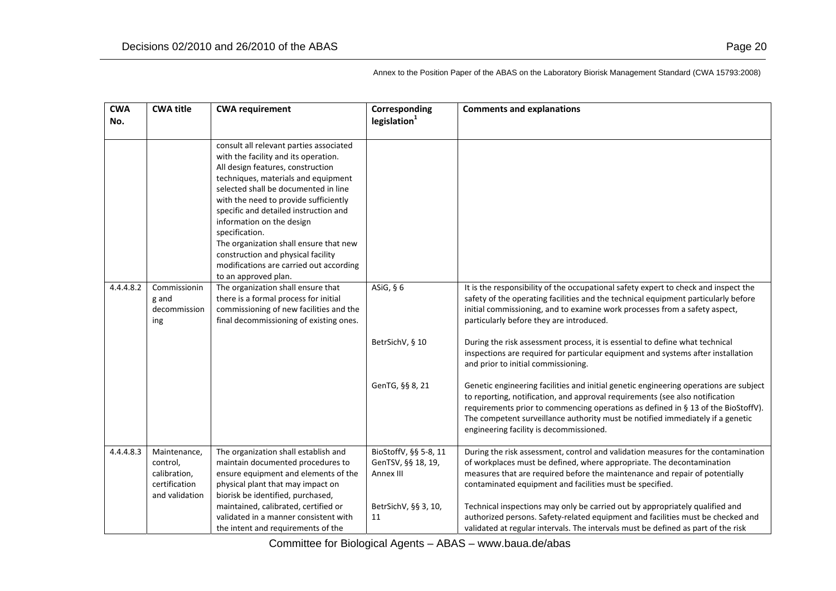**CWANo.CWAtime CWA** requirement **CWA Corresponding legislation<sup>1</sup> Comments and explanations** consult all relevant parties associated with the facility and its operation. All design features, construction techniques, materials and equipment selected shall be documented in line with the need to provide sufficiently specific and detailed instruction and information on the design specification. The organization shall ensure that new construction and physical facility modifications are carried out according to an approved plan. 4.4.4.8.22 | Commissionin g and decommissioning The organization shall ensure that there is <sup>a</sup> formal process for initial commissioning of new facilities and the final decommissioning of existing ones. ASiG, § 6 BetrSichV, § 10 GenTG, §§ 8, 21 It is the responsibility of the occupational safety expert to check and inspect the safety of the operating facilities and the technical equipment particularly before initial commissioning, and to examine work processes from <sup>a</sup> safety aspect, particularly before they are introduced. During the risk assessment process, it is essential to define what technical inspections are required for particular equipment and systems after installation and prior to initial commissioning. Genetic engineering facilities and initial genetic engineering operations are subject to reporting, notification, and approval requirements (see also notification requirements prior to commencing operations as defined in § 13 of the BioStoffV). The competent surveillance authority must be notified immediately if <sup>a</sup> genetic engineering facility is decommissioned. 4.4.4.8.3 Maintenance, control, calibration, certificationand validation The organization shall establish and maintain documented procedures to ensure equipment and elements of the physical plant that may impact on biorisk be identified, purchased, maintained, calibrated, certified or validated in <sup>a</sup> manner consistent with the intent and requirements of the BioStoffV, §§ 5‐8, 11 GenTSV, §§ 18, 19, Annex III BetrSichV, §§ 3, 10, 11During the risk assessment, control and validation measures for the contamination of workplaces must be defined, where appropriate. The decontamination measures that are required before the maintenance and repair of potentially contaminated equipment and facilities must be specified. Technical inspections may only be carried out by appropriately qualified and authorized persons. Safety‐related equipment and facilities must be checked and validated at regular intervals. The intervals must be defined as part of the risk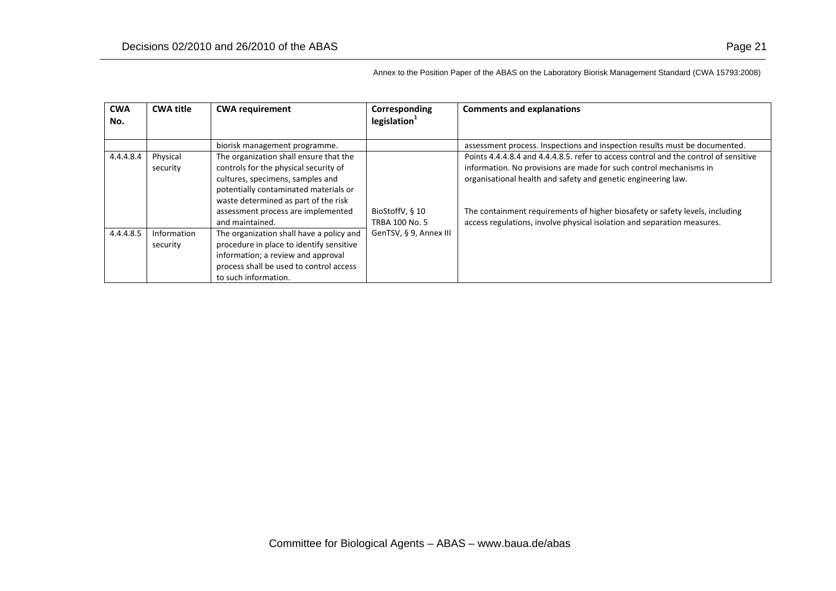| <b>CWA</b><br>No. | <b>CWA title</b>        | <b>CWA requirement</b>                                                                                                                                                                                                                                        | Corresponding<br>legislation <sup>1</sup> | <b>Comments and explanations</b>                                                                                                                                                                                                                                                                                                                                                       |
|-------------------|-------------------------|---------------------------------------------------------------------------------------------------------------------------------------------------------------------------------------------------------------------------------------------------------------|-------------------------------------------|----------------------------------------------------------------------------------------------------------------------------------------------------------------------------------------------------------------------------------------------------------------------------------------------------------------------------------------------------------------------------------------|
|                   |                         | biorisk management programme.                                                                                                                                                                                                                                 |                                           | assessment process. Inspections and inspection results must be documented.                                                                                                                                                                                                                                                                                                             |
| 4.4.4.8.4         | Physical<br>security    | The organization shall ensure that the<br>controls for the physical security of<br>cultures, specimens, samples and<br>potentially contaminated materials or<br>waste determined as part of the risk<br>assessment process are implemented<br>and maintained. | BioStoffV, § 10<br><b>TRBA 100 No. 5</b>  | Points 4.4.4.8.4 and 4.4.4.8.5, refer to access control and the control of sensitive<br>information. No provisions are made for such control mechanisms in<br>organisational health and safety and genetic engineering law.<br>The containment requirements of higher biosafety or safety levels, including<br>access regulations, involve physical isolation and separation measures. |
| 4.4.4.8.5         | Information<br>security | The organization shall have a policy and<br>procedure in place to identify sensitive<br>information; a review and approval<br>process shall be used to control access<br>to such information.                                                                 | GenTSV, § 9, Annex III                    |                                                                                                                                                                                                                                                                                                                                                                                        |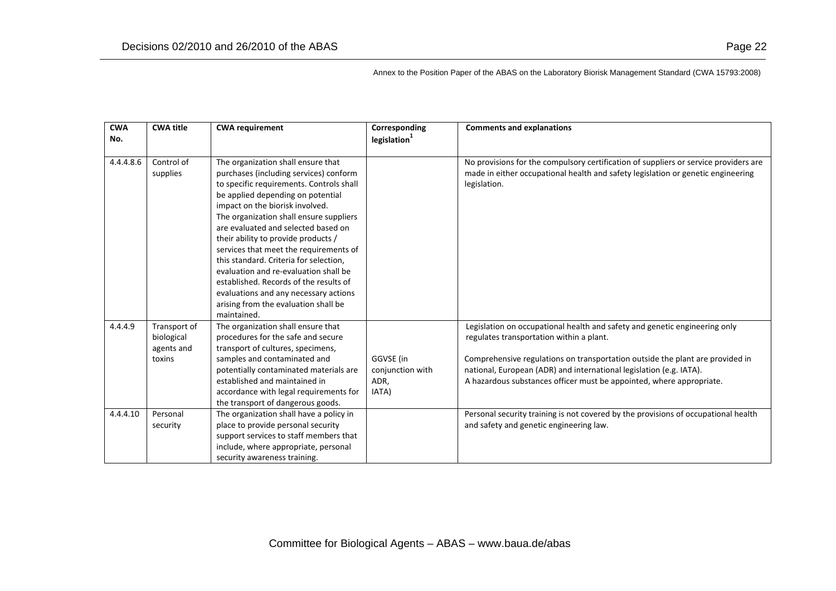| <b>CWA</b><br>No. | <b>CWA title</b>                                   | <b>CWA requirement</b>                                                                                                                                                                                                                                                                                                                                                                                                                                                                                                                                                                           | Corresponding<br>legislation <sup>1</sup>      | <b>Comments and explanations</b>                                                                                                                                                                                                                                                                                                                       |
|-------------------|----------------------------------------------------|--------------------------------------------------------------------------------------------------------------------------------------------------------------------------------------------------------------------------------------------------------------------------------------------------------------------------------------------------------------------------------------------------------------------------------------------------------------------------------------------------------------------------------------------------------------------------------------------------|------------------------------------------------|--------------------------------------------------------------------------------------------------------------------------------------------------------------------------------------------------------------------------------------------------------------------------------------------------------------------------------------------------------|
|                   |                                                    |                                                                                                                                                                                                                                                                                                                                                                                                                                                                                                                                                                                                  |                                                |                                                                                                                                                                                                                                                                                                                                                        |
| 4.4.4.8.6         | Control of<br>supplies                             | The organization shall ensure that<br>purchases (including services) conform<br>to specific requirements. Controls shall<br>be applied depending on potential<br>impact on the biorisk involved.<br>The organization shall ensure suppliers<br>are evaluated and selected based on<br>their ability to provide products /<br>services that meet the requirements of<br>this standard. Criteria for selection,<br>evaluation and re-evaluation shall be<br>established. Records of the results of<br>evaluations and any necessary actions<br>arising from the evaluation shall be<br>maintained. |                                                | No provisions for the compulsory certification of suppliers or service providers are<br>made in either occupational health and safety legislation or genetic engineering<br>legislation.                                                                                                                                                               |
| 4.4.4.9           | Transport of<br>biological<br>agents and<br>toxins | The organization shall ensure that<br>procedures for the safe and secure<br>transport of cultures, specimens,<br>samples and contaminated and<br>potentially contaminated materials are<br>established and maintained in<br>accordance with legal requirements for<br>the transport of dangerous goods.                                                                                                                                                                                                                                                                                          | GGVSE (in<br>conjunction with<br>ADR,<br>IATA) | Legislation on occupational health and safety and genetic engineering only<br>regulates transportation within a plant.<br>Comprehensive regulations on transportation outside the plant are provided in<br>national, European (ADR) and international legislation (e.g. IATA).<br>A hazardous substances officer must be appointed, where appropriate. |
| 4.4.4.10          | Personal<br>security                               | The organization shall have a policy in<br>place to provide personal security<br>support services to staff members that<br>include, where appropriate, personal<br>security awareness training.                                                                                                                                                                                                                                                                                                                                                                                                  |                                                | Personal security training is not covered by the provisions of occupational health<br>and safety and genetic engineering law.                                                                                                                                                                                                                          |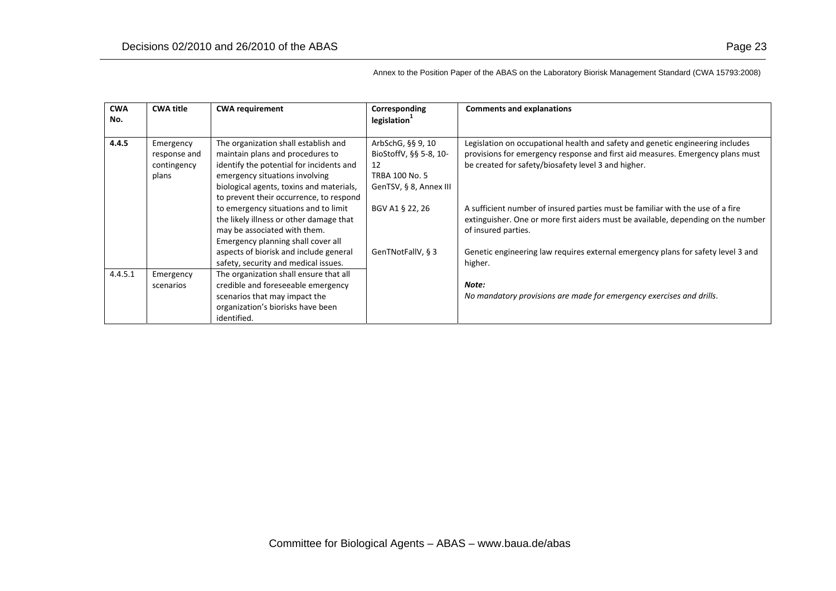| <b>CWA</b> | <b>CWA title</b>                                  | <b>CWA requirement</b>                                                                                                                                                                                                                        | Corresponding                                                                                        | <b>Comments and explanations</b>                                                                                                                                                                                        |
|------------|---------------------------------------------------|-----------------------------------------------------------------------------------------------------------------------------------------------------------------------------------------------------------------------------------------------|------------------------------------------------------------------------------------------------------|-------------------------------------------------------------------------------------------------------------------------------------------------------------------------------------------------------------------------|
| No.        |                                                   |                                                                                                                                                                                                                                               | legislation                                                                                          |                                                                                                                                                                                                                         |
| 4.4.5      | Emergency<br>response and<br>contingency<br>plans | The organization shall establish and<br>maintain plans and procedures to<br>identify the potential for incidents and<br>emergency situations involving<br>biological agents, toxins and materials,<br>to prevent their occurrence, to respond | ArbSchG, §§ 9, 10<br>BioStoffV, §§ 5-8, 10-<br>12<br><b>TRBA 100 No. 5</b><br>GenTSV, § 8, Annex III | Legislation on occupational health and safety and genetic engineering includes<br>provisions for emergency response and first aid measures. Emergency plans must<br>be created for safety/biosafety level 3 and higher. |
|            |                                                   | to emergency situations and to limit<br>the likely illness or other damage that<br>may be associated with them.<br>Emergency planning shall cover all                                                                                         | BGV A1 § 22, 26                                                                                      | A sufficient number of insured parties must be familiar with the use of a fire<br>extinguisher. One or more first aiders must be available, depending on the number<br>of insured parties.                              |
|            |                                                   | aspects of biorisk and include general<br>safety, security and medical issues.                                                                                                                                                                | GenTNotFallV, § 3                                                                                    | Genetic engineering law requires external emergency plans for safety level 3 and<br>higher.                                                                                                                             |
| 4.4.5.1    | Emergency<br>scenarios                            | The organization shall ensure that all<br>credible and foreseeable emergency<br>scenarios that may impact the<br>organization's biorisks have been<br>identified.                                                                             |                                                                                                      | Note:<br>No mandatory provisions are made for emergency exercises and drills.                                                                                                                                           |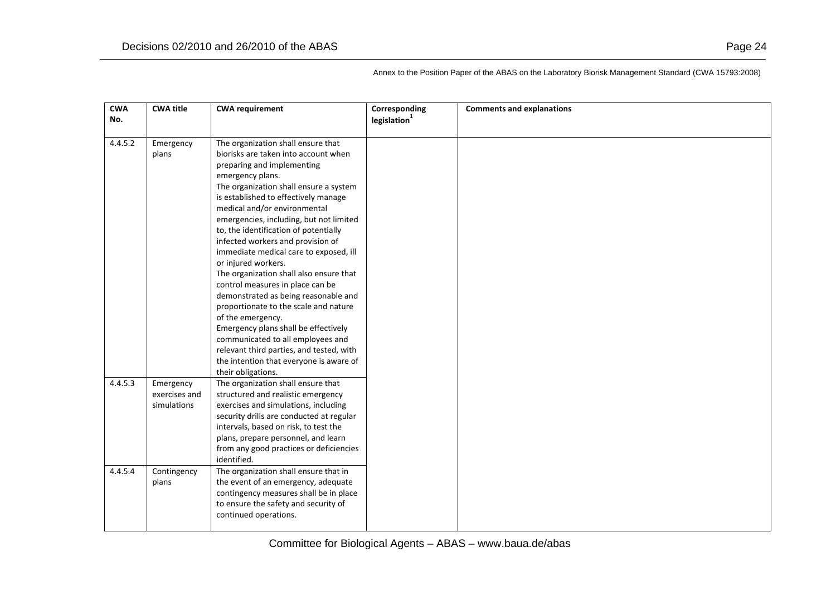| <b>CWA</b> | <b>CWA title</b> | <b>CWA requirement</b>                   | Corresponding | <b>Comments and explanations</b> |
|------------|------------------|------------------------------------------|---------------|----------------------------------|
| No.        |                  |                                          | legislation   |                                  |
|            |                  |                                          |               |                                  |
| 4.4.5.2    | Emergency        | The organization shall ensure that       |               |                                  |
|            | plans            | biorisks are taken into account when     |               |                                  |
|            |                  | preparing and implementing               |               |                                  |
|            |                  | emergency plans.                         |               |                                  |
|            |                  | The organization shall ensure a system   |               |                                  |
|            |                  | is established to effectively manage     |               |                                  |
|            |                  | medical and/or environmental             |               |                                  |
|            |                  | emergencies, including, but not limited  |               |                                  |
|            |                  | to, the identification of potentially    |               |                                  |
|            |                  | infected workers and provision of        |               |                                  |
|            |                  | immediate medical care to exposed, ill   |               |                                  |
|            |                  | or injured workers.                      |               |                                  |
|            |                  | The organization shall also ensure that  |               |                                  |
|            |                  | control measures in place can be         |               |                                  |
|            |                  | demonstrated as being reasonable and     |               |                                  |
|            |                  | proportionate to the scale and nature    |               |                                  |
|            |                  | of the emergency.                        |               |                                  |
|            |                  | Emergency plans shall be effectively     |               |                                  |
|            |                  | communicated to all employees and        |               |                                  |
|            |                  | relevant third parties, and tested, with |               |                                  |
|            |                  | the intention that everyone is aware of  |               |                                  |
|            |                  | their obligations.                       |               |                                  |
| 4.4.5.3    | Emergency        | The organization shall ensure that       |               |                                  |
|            | exercises and    | structured and realistic emergency       |               |                                  |
|            | simulations      | exercises and simulations, including     |               |                                  |
|            |                  | security drills are conducted at regular |               |                                  |
|            |                  | intervals, based on risk, to test the    |               |                                  |
|            |                  | plans, prepare personnel, and learn      |               |                                  |
|            |                  | from any good practices or deficiencies  |               |                                  |
|            |                  | identified.                              |               |                                  |
| 4.4.5.4    | Contingency      | The organization shall ensure that in    |               |                                  |
|            | plans            | the event of an emergency, adequate      |               |                                  |
|            |                  | contingency measures shall be in place   |               |                                  |
|            |                  | to ensure the safety and security of     |               |                                  |
|            |                  | continued operations.                    |               |                                  |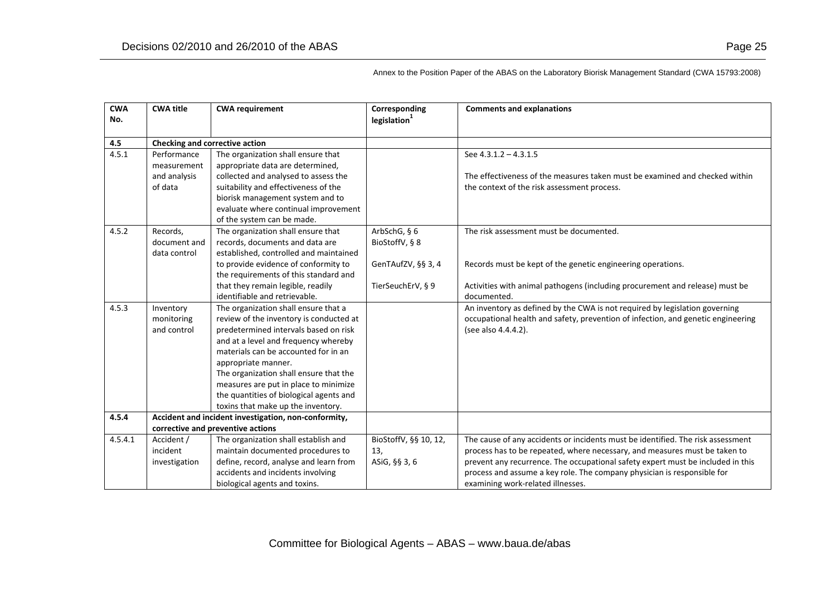accidents and incidents involving biological agents and toxins.

**4.5**

4.5.1

| <b>CWA</b><br>No. | <b>CWA title</b>                                      | <b>CWA requirement</b>                                                                                                                                                                                                                                                                                                                                                                              | Corresponding<br>legislation <sup>1</sup>                                   | <b>Comments and explanations</b>                                                                                                                                                                                                                 |  |
|-------------------|-------------------------------------------------------|-----------------------------------------------------------------------------------------------------------------------------------------------------------------------------------------------------------------------------------------------------------------------------------------------------------------------------------------------------------------------------------------------------|-----------------------------------------------------------------------------|--------------------------------------------------------------------------------------------------------------------------------------------------------------------------------------------------------------------------------------------------|--|
| 4.5               | Checking and corrective action                        |                                                                                                                                                                                                                                                                                                                                                                                                     |                                                                             |                                                                                                                                                                                                                                                  |  |
| 4.5.1             | Performance<br>measurement<br>and analysis<br>of data | The organization shall ensure that<br>appropriate data are determined,<br>collected and analysed to assess the<br>suitability and effectiveness of the<br>biorisk management system and to<br>evaluate where continual improvement<br>of the system can be made.                                                                                                                                    |                                                                             | See $4.3.1.2 - 4.3.1.5$<br>The effectiveness of the measures taken must be examined and checked within<br>the context of the risk assessment process.                                                                                            |  |
| 4.5.2             | Records.<br>document and<br>data control              | The organization shall ensure that<br>records, documents and data are<br>established, controlled and maintained<br>to provide evidence of conformity to<br>the requirements of this standard and<br>that they remain legible, readily<br>identifiable and retrievable.                                                                                                                              | ArbSchG, $§$ 6<br>BioStoffV, § 8<br>GenTAufZV, §§ 3, 4<br>TierSeuchErV, § 9 | The risk assessment must be documented.<br>Records must be kept of the genetic engineering operations.<br>Activities with animal pathogens (including procurement and release) must be<br>documented.                                            |  |
| 4.5.3             | Inventory<br>monitoring<br>and control                | The organization shall ensure that a<br>review of the inventory is conducted at<br>predetermined intervals based on risk<br>and at a level and frequency whereby<br>materials can be accounted for in an<br>appropriate manner.<br>The organization shall ensure that the<br>measures are put in place to minimize<br>the quantities of biological agents and<br>toxins that make up the inventory. |                                                                             | An inventory as defined by the CWA is not required by legislation governing<br>occupational health and safety, prevention of infection, and genetic engineering<br>(see also 4.4.4.2).                                                           |  |
| 4.5.4             |                                                       | Accident and incident investigation, non-conformity,                                                                                                                                                                                                                                                                                                                                                |                                                                             |                                                                                                                                                                                                                                                  |  |
|                   |                                                       | corrective and preventive actions                                                                                                                                                                                                                                                                                                                                                                   |                                                                             |                                                                                                                                                                                                                                                  |  |
| 4.5.4.1           | Accident /<br>incident<br>investigation               | The organization shall establish and<br>maintain documented procedures to<br>define, record, analyse and learn from                                                                                                                                                                                                                                                                                 | BioStoffV, §§ 10, 12,<br>13,<br>ASiG, §§ 3, 6                               | The cause of any accidents or incidents must be identified. The risk assessment<br>process has to be repeated, where necessary, and measures must be taken to<br>prevent any recurrence. The occupational safety expert must be included in this |  |

Annex to the Position Paper of the ABAS on the Laboratory Biorisk Management Standard (CWA 15793:2008)

process and assume <sup>a</sup> key role. The company physician is responsible for

examining work‐related illnesses.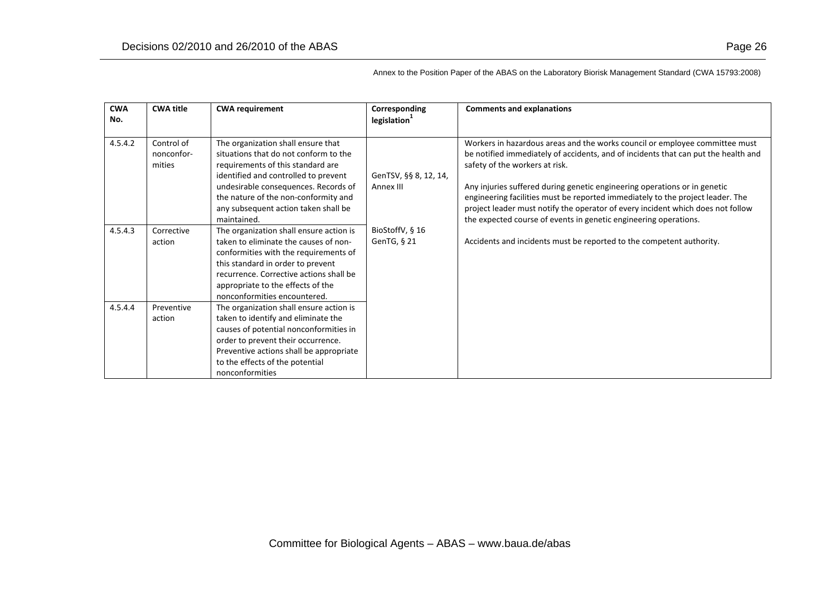| <b>CWA</b> | <b>CWA title</b>                   | <b>CWA requirement</b>                                                                                                                                                                                                                                                         | Corresponding                  | <b>Comments and explanations</b>                                                                                                                                                                                                                                                                                   |
|------------|------------------------------------|--------------------------------------------------------------------------------------------------------------------------------------------------------------------------------------------------------------------------------------------------------------------------------|--------------------------------|--------------------------------------------------------------------------------------------------------------------------------------------------------------------------------------------------------------------------------------------------------------------------------------------------------------------|
| No.        |                                    |                                                                                                                                                                                                                                                                                | legislation                    |                                                                                                                                                                                                                                                                                                                    |
| 4.5.4.2    | Control of<br>nonconfor-<br>mities | The organization shall ensure that<br>situations that do not conform to the<br>requirements of this standard are<br>identified and controlled to prevent                                                                                                                       | GenTSV, §§ 8, 12, 14,          | Workers in hazardous areas and the works council or employee committee must<br>be notified immediately of accidents, and of incidents that can put the health and<br>safety of the workers at risk.                                                                                                                |
|            |                                    | undesirable consequences. Records of<br>the nature of the non-conformity and<br>any subsequent action taken shall be<br>maintained.                                                                                                                                            | Annex III                      | Any injuries suffered during genetic engineering operations or in genetic<br>engineering facilities must be reported immediately to the project leader. The<br>project leader must notify the operator of every incident which does not follow<br>the expected course of events in genetic engineering operations. |
| 4.5.4.3    | Corrective<br>action               | The organization shall ensure action is<br>taken to eliminate the causes of non-<br>conformities with the requirements of<br>this standard in order to prevent<br>recurrence. Corrective actions shall be<br>appropriate to the effects of the<br>nonconformities encountered. | BioStoffV, § 16<br>GenTG, § 21 | Accidents and incidents must be reported to the competent authority.                                                                                                                                                                                                                                               |
| 4.5.4.4    | Preventive<br>action               | The organization shall ensure action is<br>taken to identify and eliminate the<br>causes of potential nonconformities in<br>order to prevent their occurrence.<br>Preventive actions shall be appropriate<br>to the effects of the potential<br>nonconformities                |                                |                                                                                                                                                                                                                                                                                                                    |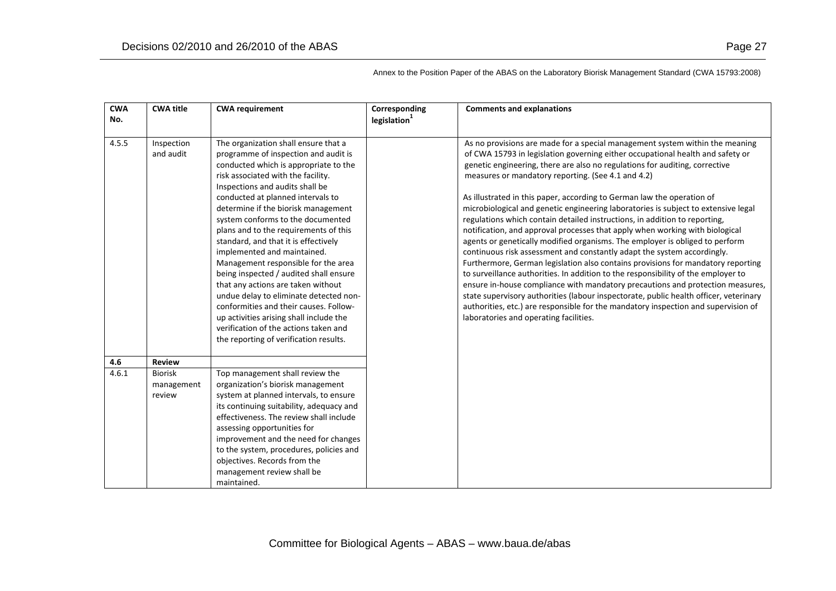| <b>CWA</b><br>No. | <b>CWA title</b>                       | <b>CWA requirement</b>                                                                                                                                                                                                                                                                                                                                                                                                                                                                                                                                                                                                                                                                                                                                                   | Corresponding<br>legislation | <b>Comments and explanations</b>                                                                                                                                                                                                                                                                                                                                                                                                                                                                                                                                                                                                                                                                                                                                                                                                                                                                                                                                                                                                                                                                                                                                                                                                                                                 |
|-------------------|----------------------------------------|--------------------------------------------------------------------------------------------------------------------------------------------------------------------------------------------------------------------------------------------------------------------------------------------------------------------------------------------------------------------------------------------------------------------------------------------------------------------------------------------------------------------------------------------------------------------------------------------------------------------------------------------------------------------------------------------------------------------------------------------------------------------------|------------------------------|----------------------------------------------------------------------------------------------------------------------------------------------------------------------------------------------------------------------------------------------------------------------------------------------------------------------------------------------------------------------------------------------------------------------------------------------------------------------------------------------------------------------------------------------------------------------------------------------------------------------------------------------------------------------------------------------------------------------------------------------------------------------------------------------------------------------------------------------------------------------------------------------------------------------------------------------------------------------------------------------------------------------------------------------------------------------------------------------------------------------------------------------------------------------------------------------------------------------------------------------------------------------------------|
| 4.5.5             | Inspection<br>and audit                | The organization shall ensure that a<br>programme of inspection and audit is<br>conducted which is appropriate to the<br>risk associated with the facility.<br>Inspections and audits shall be<br>conducted at planned intervals to<br>determine if the biorisk management<br>system conforms to the documented<br>plans and to the requirements of this<br>standard, and that it is effectively<br>implemented and maintained.<br>Management responsible for the area<br>being inspected / audited shall ensure<br>that any actions are taken without<br>undue delay to eliminate detected non-<br>conformities and their causes. Follow-<br>up activities arising shall include the<br>verification of the actions taken and<br>the reporting of verification results. |                              | As no provisions are made for a special management system within the meaning<br>of CWA 15793 in legislation governing either occupational health and safety or<br>genetic engineering, there are also no regulations for auditing, corrective<br>measures or mandatory reporting. (See 4.1 and 4.2)<br>As illustrated in this paper, according to German law the operation of<br>microbiological and genetic engineering laboratories is subject to extensive legal<br>regulations which contain detailed instructions, in addition to reporting,<br>notification, and approval processes that apply when working with biological<br>agents or genetically modified organisms. The employer is obliged to perform<br>continuous risk assessment and constantly adapt the system accordingly.<br>Furthermore, German legislation also contains provisions for mandatory reporting<br>to surveillance authorities. In addition to the responsibility of the employer to<br>ensure in-house compliance with mandatory precautions and protection measures,<br>state supervisory authorities (labour inspectorate, public health officer, veterinary<br>authorities, etc.) are responsible for the mandatory inspection and supervision of<br>laboratories and operating facilities. |
| 4.6               | <b>Review</b>                          |                                                                                                                                                                                                                                                                                                                                                                                                                                                                                                                                                                                                                                                                                                                                                                          |                              |                                                                                                                                                                                                                                                                                                                                                                                                                                                                                                                                                                                                                                                                                                                                                                                                                                                                                                                                                                                                                                                                                                                                                                                                                                                                                  |
| 4.6.1             | <b>Biorisk</b><br>management<br>review | Top management shall review the<br>organization's biorisk management<br>system at planned intervals, to ensure<br>its continuing suitability, adequacy and<br>effectiveness. The review shall include<br>assessing opportunities for<br>improvement and the need for changes<br>to the system, procedures, policies and<br>objectives. Records from the<br>management review shall be<br>maintained.                                                                                                                                                                                                                                                                                                                                                                     |                              |                                                                                                                                                                                                                                                                                                                                                                                                                                                                                                                                                                                                                                                                                                                                                                                                                                                                                                                                                                                                                                                                                                                                                                                                                                                                                  |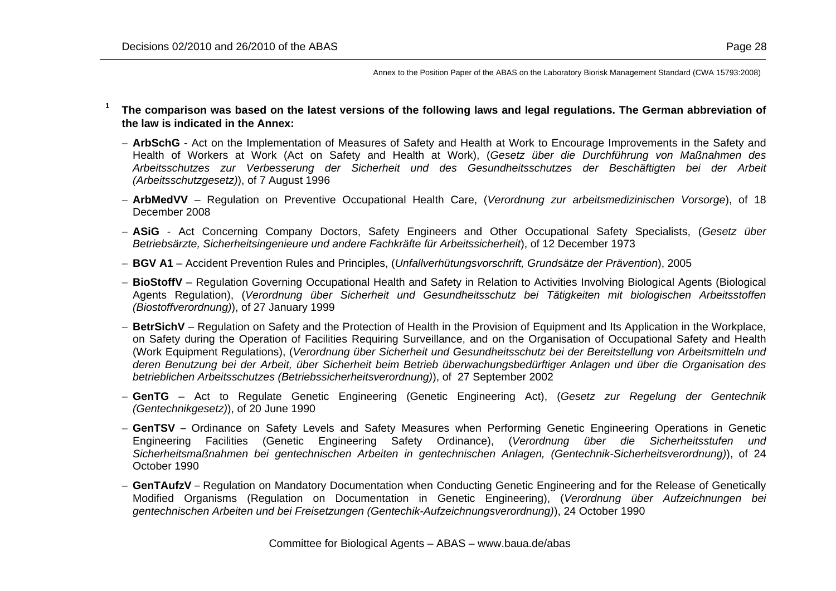- **1 The comparison was based on the latest versions of the following laws and legal regulations. The German abbreviation of the law is indicated in the Annex:**
	- − **ArbSchG** Act on the Implementation of Measures of Safety and Health at Work to Encourage Improvements in the Safety and Health of Workers at Work (Act on Safety and Health at Work), (*Gesetz über die Durchführung von Maßnahmen des Arbeitsschutzes zur Verbesserung der Sicherheit und des Gesundheitsschutzes der Beschäftigten bei der Arbeit (Arbeitsschutzgesetz)*), of 7 August 1996
	- − **ArbMedVV** Regulation on Preventive Occupational Health Care, (*Verordnung zur arbeitsmedizinischen Vorsorge*), of 18 December 2008
	- − **ASiG** Act Concerning Company Doctors, Safety Engineers and Other Occupational Safety Specialists, (*Gesetz über Betriebsärzte, Sicherheitsingenieure und andere Fachkräfte für Arbeitssicherheit*), of 12 December 1973
	- − **BGV A1**  Accident Prevention Rules and Principles, (*Unfallverhütungsvorschrift, Grundsätze der Prävention*), 2005
	- − **BioStoffV** Regulation Governing Occupational Health and Safety in Relation to Activities Involving Biological Agents (Biological Agents Regulation), (*Verordnung über Sicherheit und Gesundheitsschutz bei Tätigkeiten mit biologischen Arbeitsstoffen (Biostoffverordnung)*), of 27 January 1999
	- − **BetrSichV** Regulation on Safety and the Protection of Health in the Provision of Equipment and Its Application in the Workplace, on Safety during the Operation of Facilities Requiring Surveillance, and on the Organisation of Occupational Safety and Health (Work Equipment Regulations), (*Verordnung über Sicherheit und Gesundheitsschutz bei der Bereitstellung von Arbeitsmitteln und deren Benutzung bei der Arbeit, über Sicherheit beim Betrieb überwachungsbedürftiger Anlagen und über die Organisation des betrieblichen Arbeitsschutzes (Betriebssicherheitsverordnung)*), of 27 September 2002
	- − **GenTG** Act to Regulate Genetic Engineering (Genetic Engineering Act), (*Gesetz zur Regelung der Gentechnik (Gentechnikgesetz)*), of 20 June 1990
	- − **GenTSV** Ordinance on Safety Levels and Safety Measures when Performing Genetic Engineering Operations in Genetic Engineering Facilities (Genetic Engineering Safety Ordinance), (*Verordnung über die Sicherheitsstufen und Sicherheitsmaßnahmen bei gentechnischen Arbeiten in gentechnischen Anlagen, (Gentechnik-Sicherheitsverordnung)*), of 24 October 1990
	- − **GenTAufzV** Regulation on Mandatory Documentation when Conducting Genetic Engineering and for the Release of Genetically Modified Organisms (Regulation on Documentation in Genetic Engineering), (*Verordnung über Aufzeichnungen bei gentechnischen Arbeiten und bei Freisetzungen (Gentechik-Aufzeichnungsverordnung)*), 24 October 1990